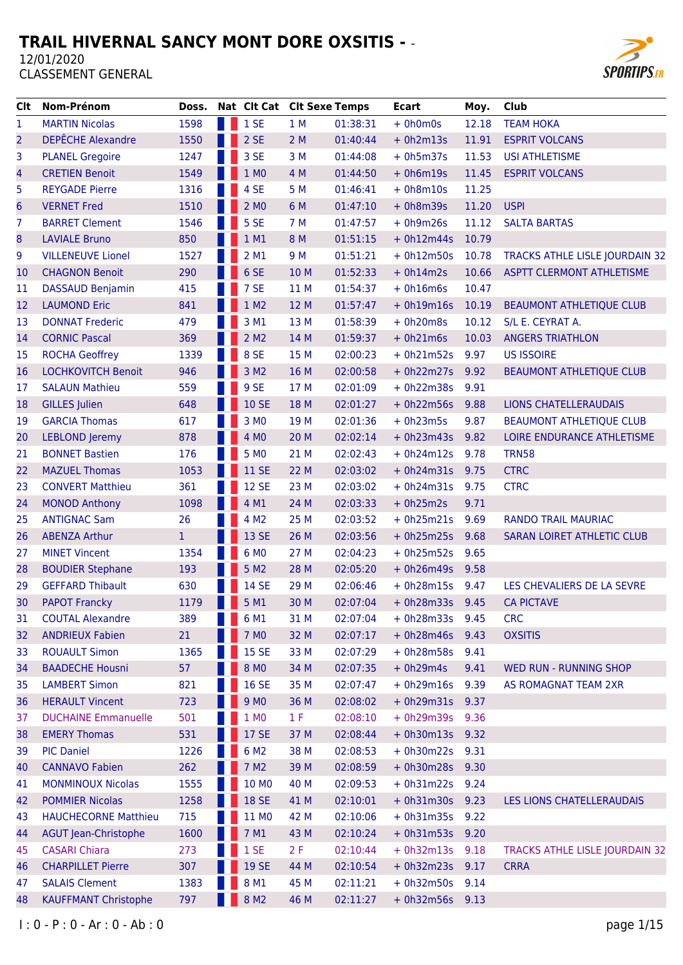

| Clt                     | Nom-Prénom                  | Doss.        | Nat Clt Cat Clt Sexe Temps |      |          | <b>Ecart</b>      | Moy.  | Club                              |
|-------------------------|-----------------------------|--------------|----------------------------|------|----------|-------------------|-------|-----------------------------------|
| 1                       | <b>MARTIN Nicolas</b>       | 1598         | 1 SE                       | 1 M  | 01:38:31 | $+ 0h0m0s$        | 12.18 | <b>TEAM HOKA</b>                  |
| $\overline{2}$          | <b>DEPÊCHE Alexandre</b>    | 1550         | 2 SE                       | 2M   | 01:40:44 | $+ 0h2m13s$       | 11.91 | <b>ESPRIT VOLCANS</b>             |
| 3                       | <b>PLANEL Gregoire</b>      | 1247         | 3 SE                       | 3M   | 01:44:08 | $+ 0h5m37s$       | 11.53 | <b>USI ATHLETISME</b>             |
| $\overline{\mathbf{4}}$ | <b>CRETIEN Benoit</b>       | 1549         | 1 M0                       | 4 M  | 01:44:50 | $+ 0h6m19s$       | 11.45 | <b>ESPRIT VOLCANS</b>             |
| 5                       | <b>REYGADE Pierre</b>       | 1316         | 4 SE                       | 5 M  | 01:46:41 | $+ 0h8m10s$       | 11.25 |                                   |
| 6                       | <b>VERNET Fred</b>          | 1510         | 2 MO                       | 6 M  | 01:47:10 | $+ 0h8m39s$       | 11.20 | <b>USPI</b>                       |
| 7                       | <b>BARRET Clement</b>       | 1546         | 5 SE                       | 7 M  | 01:47:57 | $+ 0h9m26s$       | 11.12 | <b>SALTA BARTAS</b>               |
| 8                       | <b>LAVIALE Bruno</b>        | 850          | 1 M1                       | 8 M  | 01:51:15 | $+ 0h12m44s$      | 10.79 |                                   |
| 9                       | <b>VILLENEUVE Lionel</b>    | 1527         | 2 M1                       | 9 M  | 01:51:21 | $+ 0h12m50s$      | 10.78 | TRACKS ATHLE LISLE JOURDAIN 32    |
| 10                      | <b>CHAGNON Benoit</b>       | 290          | 6 SE                       | 10 M | 01:52:33 | $+ 0h14m2s$       | 10.66 | <b>ASPTT CLERMONT ATHLETISME</b>  |
| 11                      | <b>DASSAUD Benjamin</b>     | 415          | 7 SE                       | 11 M | 01:54:37 | $+ 0h16m6s$       | 10.47 |                                   |
| 12                      | <b>LAUMOND Eric</b>         | 841          | 1 M2                       | 12 M | 01:57:47 | $+ 0h19m16s$      | 10.19 | <b>BEAUMONT ATHLETIQUE CLUB</b>   |
| 13                      | <b>DONNAT Frederic</b>      | 479          | 3 M1                       | 13 M | 01:58:39 | $+ 0h20m8s$       | 10.12 | S/L E. CEYRAT A.                  |
| 14                      | <b>CORNIC Pascal</b>        | 369          | 2 M <sub>2</sub>           | 14 M | 01:59:37 | $+ 0h21m6s$       | 10.03 | <b>ANGERS TRIATHLON</b>           |
| 15                      | <b>ROCHA Geoffrey</b>       | 1339         | 8 SE                       | 15 M | 02:00:23 | $+ 0h21m52s$      | 9.97  | <b>US ISSOIRE</b>                 |
| 16                      | <b>LOCHKOVITCH Benoit</b>   | 946          | 3 M <sub>2</sub>           | 16 M | 02:00:58 | $+ 0h22m27s$      | 9.92  | <b>BEAUMONT ATHLETIQUE CLUB</b>   |
| 17                      | <b>SALAUN Mathieu</b>       | 559          | 9 SE                       | 17 M | 02:01:09 | $+ 0h22m38s$      | 9.91  |                                   |
| 18                      | <b>GILLES</b> Julien        | 648          | <b>10 SE</b>               | 18 M | 02:01:27 | $+ 0h22m56s$      | 9.88  | <b>LIONS CHATELLERAUDAIS</b>      |
| 19                      | <b>GARCIA Thomas</b>        | 617          | 3 M <sub>0</sub>           | 19 M | 02:01:36 | $+ 0h23m5s$       | 9.87  | <b>BEAUMONT ATHLETIQUE CLUB</b>   |
| 20                      | <b>LEBLOND</b> Jeremy       | 878          | 4 MO                       | 20 M | 02:02:14 | $+ 0h23m43s$      | 9.82  | LOIRE ENDURANCE ATHLETISME        |
| 21                      | <b>BONNET Bastien</b>       | 176          | 5 MO                       | 21 M | 02:02:43 | $+ 0h24m12s$      | 9.78  | <b>TRN58</b>                      |
| 22                      | <b>MAZUEL Thomas</b>        | 1053         | <b>11 SE</b>               | 22 M | 02:03:02 | + 0h24m31s 9.75   |       | <b>CTRC</b>                       |
| 23                      | <b>CONVERT Matthieu</b>     | 361          | <b>12 SE</b>               | 23 M | 02:03:02 | $+ 0h24m31s$      | 9.75  | <b>CTRC</b>                       |
| 24                      | <b>MONOD Anthony</b>        | 1098         | 4 M1                       | 24 M | 02:03:33 | $+ 0h25m2s$       | 9.71  |                                   |
| 25                      | <b>ANTIGNAC Sam</b>         | 26           | 4 M <sub>2</sub>           | 25 M | 02:03:52 | $+ 0h25m21s$      | 9.69  | <b>RANDO TRAIL MAURIAC</b>        |
| 26                      | <b>ABENZA Arthur</b>        | $\mathbf{1}$ | 13 SE                      | 26 M | 02:03:56 | $+ 0h25m25s$      | 9.68  | <b>SARAN LOIRET ATHLETIC CLUB</b> |
| 27                      | <b>MINET Vincent</b>        | 1354         | 6 M <sub>0</sub>           | 27 M | 02:04:23 | $+ 0h25m52s$      | 9.65  |                                   |
| 28                      | <b>BOUDIER Stephane</b>     | 193          | 5 M <sub>2</sub>           | 28 M | 02:05:20 | $+ 0h26m49s$      | 9.58  |                                   |
| 29                      | <b>GEFFARD Thibault</b>     | 630          | <b>14 SE</b>               | 29 M | 02:06:46 | $+ 0h28m15s$      | 9.47  | LES CHEVALIERS DE LA SEVRE        |
| 30                      | <b>PAPOT Francky</b>        | 1179         | 5 M1                       | 30 M | 02:07:04 | $+ 0h28m33s 9.45$ |       | <b>CA PICTAVE</b>                 |
| 31                      | <b>COUTAL Alexandre</b>     | 389          | 6 M1                       | 31 M | 02:07:04 | $+ 0h28m33s$      | 9.45  | <b>CRC</b>                        |
| 32                      | <b>ANDRIEUX Fabien</b>      | 21           | 7 M <sub>0</sub>           | 32 M | 02:07:17 | $+ 0h28m46s$      | 9.43  | <b>OXSITIS</b>                    |
| 33                      | <b>ROUAULT Simon</b>        | 1365         | <b>15 SE</b>               | 33 M | 02:07:29 | $+ 0h28m58s$      | 9.41  |                                   |
| 34                      | <b>BAADECHE Housni</b>      | 57           | 8 MO                       | 34 M | 02:07:35 | $+ 0h29m4s$       | 9.41  | <b>WED RUN - RUNNING SHOP</b>     |
| 35                      | <b>LAMBERT Simon</b>        | 821          | <b>16 SE</b>               | 35 M | 02:07:47 | $+ 0h29m16s$      | 9.39  | AS ROMAGNAT TEAM 2XR              |
| 36                      | <b>HERAULT Vincent</b>      | 723          | 9 M <sub>0</sub>           | 36 M | 02:08:02 | + 0h29m31s 9.37   |       |                                   |
| 37                      | <b>DUCHAINE Emmanuelle</b>  | 501          | 1 M <sub>0</sub>           | 1 F  | 02:08:10 | + 0h29m39s 9.36   |       |                                   |
| 38                      | <b>EMERY Thomas</b>         | 531          | <b>17 SE</b>               | 37 M | 02:08:44 | + 0h30m13s 9.32   |       |                                   |
| 39                      | <b>PIC Daniel</b>           | 1226         | 6 M <sub>2</sub>           | 38 M | 02:08:53 | $+ 0h30m22s$      | 9.31  |                                   |
| 40                      | <b>CANNAVO Fabien</b>       | 262          | 7 M <sub>2</sub>           | 39 M | 02:08:59 | + 0h30m28s 9.30   |       |                                   |
| 41                      | <b>MONMINOUX Nicolas</b>    | 1555         | 10 MO                      | 40 M | 02:09:53 | + 0h31m22s 9.24   |       |                                   |
| 42                      | <b>POMMIER Nicolas</b>      | 1258         | <b>18 SE</b>               | 41 M | 02:10:01 | $+ 0h31m30s 9.23$ |       | LES LIONS CHATELLERAUDAIS         |
| 43                      | <b>HAUCHECORNE Matthieu</b> | 715          | 11 MO                      | 42 M | 02:10:06 | $+ 0h31m35s 9.22$ |       |                                   |
| 44                      | <b>AGUT Jean-Christophe</b> | 1600         | 7 M1                       | 43 M | 02:10:24 | + 0h31m53s 9.20   |       |                                   |
| 45                      | <b>CASARI Chiara</b>        | 273          | 1SE                        | 2F   | 02:10:44 | + 0h32m13s 9.18   |       | TRACKS ATHLE LISLE JOURDAIN 32    |
| 46                      | <b>CHARPILLET Pierre</b>    | 307          | <b>19 SE</b>               | 44 M | 02:10:54 | + 0h32m23s 9.17   |       | <b>CRRA</b>                       |
| 47                      | <b>SALAIS Clement</b>       | 1383         | 8 M1                       | 45 M | 02:11:21 | + 0h32m50s 9.14   |       |                                   |
| 48                      | <b>KAUFFMANT Christophe</b> | 797          | 8 M <sub>2</sub>           | 46 M | 02:11:27 | + 0h32m56s 9.13   |       |                                   |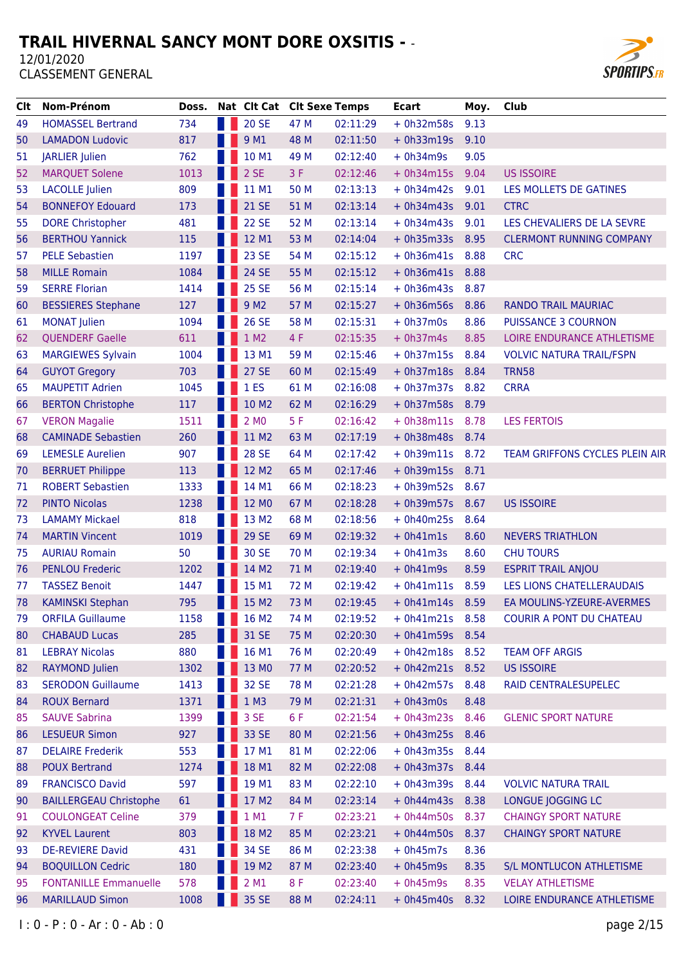

| Clt | <b>Nom-Prénom</b>             | Doss. | Nat Clt Cat Clt Sexe Temps |      |          | <b>Ecart</b>      | Moy. | Club                            |
|-----|-------------------------------|-------|----------------------------|------|----------|-------------------|------|---------------------------------|
| 49  | <b>HOMASSEL Bertrand</b>      | 734   | <b>20 SE</b>               | 47 M | 02:11:29 | $+ 0h32m58s$      | 9.13 |                                 |
| 50  | <b>LAMADON Ludovic</b>        | 817   | 9 M1                       | 48 M | 02:11:50 | $+ 0h33m19s$      | 9.10 |                                 |
| 51  | <b>JARLIER Julien</b>         | 762   | 10 M1                      | 49 M | 02:12:40 | $+ 0h34m9s$       | 9.05 |                                 |
| 52  | <b>MARQUET Solene</b>         | 1013  | 2 SE                       | 3F   | 02:12:46 | $+ 0h34m15s$      | 9.04 | <b>US ISSOIRE</b>               |
| 53  | <b>LACOLLE</b> Julien         | 809   | 11 M1                      | 50 M | 02:13:13 | $+ 0h34m42s$      | 9.01 | LES MOLLETS DE GATINES          |
| 54  | <b>BONNEFOY Edouard</b>       | 173   | <b>21 SE</b>               | 51 M | 02:13:14 | $+ 0h34m43s$      | 9.01 | <b>CTRC</b>                     |
| 55  | <b>DORE Christopher</b>       | 481   | <b>22 SE</b>               | 52 M | 02:13:14 | $+ 0h34m43s$      | 9.01 | LES CHEVALIERS DE LA SEVRE      |
| 56  | <b>BERTHOU Yannick</b>        | 115   | 12 M1                      | 53 M | 02:14:04 | $+ 0h35m33s$      | 8.95 | <b>CLERMONT RUNNING COMPANY</b> |
| 57  | <b>PELE Sebastien</b>         | 1197  | 23 SE                      | 54 M | 02:15:12 | $+ 0h36m41s$      | 8.88 | <b>CRC</b>                      |
| 58  | <b>MILLE Romain</b>           | 1084  | 24 SE                      | 55 M | 02:15:12 | + 0h36m41s 8.88   |      |                                 |
| 59  | <b>SERRE Florian</b>          | 1414  | <b>25 SE</b>               | 56 M | 02:15:14 | $+ 0h36m43s$      | 8.87 |                                 |
| 60  | <b>BESSIERES Stephane</b>     | 127   | 9 M <sub>2</sub>           | 57 M | 02:15:27 | $+ 0h36m56s$      | 8.86 | <b>RANDO TRAIL MAURIAC</b>      |
| 61  | <b>MONAT Julien</b>           | 1094  | <b>26 SE</b>               | 58 M | 02:15:31 | $+ 0h37m0s$       | 8.86 | <b>PUISSANCE 3 COURNON</b>      |
| 62  | <b>QUENDERF Gaelle</b>        | 611   | 1 M2                       | 4 F  | 02:15:35 | $+ 0h37m4s$       | 8.85 | LOIRE ENDURANCE ATHLETISME      |
| 63  | <b>MARGIEWES Sylvain</b>      | 1004  | 13 M1                      | 59 M | 02:15:46 | $+ 0h37m15s$      | 8.84 | <b>VOLVIC NATURA TRAIL/FSPN</b> |
| 64  | <b>GUYOT Gregory</b>          | 703   | <b>27 SE</b>               | 60 M | 02:15:49 | $+ 0h37m18s$      | 8.84 | <b>TRN58</b>                    |
| 65  | <b>MAUPETIT Adrien</b>        | 1045  | 1 <sub>E</sub>             | 61 M | 02:16:08 | $+ 0h37m37s$      | 8.82 | <b>CRRA</b>                     |
| 66  | <b>BERTON Christophe</b>      | 117   | 10 M2                      | 62 M | 02:16:29 | $+ 0h37m58s$      | 8.79 |                                 |
| 67  | <b>VERON Magalie</b>          | 1511  | 2 MO                       | 5F   | 02:16:42 | $+ 0h38m11s$      | 8.78 | <b>LES FERTOIS</b>              |
| 68  | <b>CAMINADE Sebastien</b>     | 260   | 11 M2                      | 63 M | 02:17:19 | + 0h38m48s 8.74   |      |                                 |
| 69  | <b>LEMESLE Aurelien</b>       | 907   | <b>28 SE</b>               | 64 M | 02:17:42 | $+ 0h39m11s$      | 8.72 | TEAM GRIFFONS CYCLES PLEIN AIR  |
| 70  | <b>BERRUET Philippe</b>       | 113   | 12 M2                      | 65 M | 02:17:46 | $+ 0h39m15s$      | 8.71 |                                 |
| 71  | <b>ROBERT Sebastien</b>       | 1333  | 14 M1                      | 66 M | 02:18:23 | $+ 0h39m52s$      | 8.67 |                                 |
| 72  | <b>PINTO Nicolas</b>          | 1238  | 12 MO                      | 67 M | 02:18:28 | $+ 0h39m57s$      | 8.67 | <b>US ISSOIRE</b>               |
| 73  | <b>LAMAMY Mickael</b>         | 818   | 13 M2                      | 68 M | 02:18:56 | $+ 0h40m25s$      | 8.64 |                                 |
| 74  | <b>MARTIN Vincent</b>         | 1019  | <b>29 SE</b>               | 69 M | 02:19:32 | $+ 0h41m1s$       | 8.60 | <b>NEVERS TRIATHLON</b>         |
| 75  | <b>AURIAU Romain</b>          | 50    | 30 SE                      | 70 M | 02:19:34 | $+ 0h41m3s$       | 8.60 | <b>CHU TOURS</b>                |
| 76  | <b>PENLOU Frederic</b>        | 1202  | 14 M2                      | 71 M | 02:19:40 | $+ 0h41m9s$       | 8.59 | <b>ESPRIT TRAIL ANJOU</b>       |
| 77  | <b>TASSEZ Benoit</b>          | 1447  | 15 M1                      | 72 M | 02:19:42 | $+ 0h41m11s$      | 8.59 | LES LIONS CHATELLERAUDAIS       |
| 78  | <b>KAMINSKI Stephan</b>       | 795   | 15 M2                      | 73 M | 02:19:45 | $+ 0h41m14s 8.59$ |      | EA MOULINS-YZEURE-AVERMES       |
| 79  | <b>ORFILA Guillaume</b>       | 1158  | <b>16 M2</b>               | 74 M | 02:19:52 | $+ 0h41m21s$      | 8.58 | <b>COURIR A PONT DU CHATEAU</b> |
| 80  | <b>CHABAUD Lucas</b>          | 285   | 31 SE                      | 75 M | 02:20:30 | $+ 0h41m59s$      | 8.54 |                                 |
| 81  | <b>LEBRAY Nicolas</b>         | 880   | 16 M1                      | 76 M | 02:20:49 | + 0h42m18s 8.52   |      | <b>TEAM OFF ARGIS</b>           |
| 82  | <b>RAYMOND Julien</b>         | 1302  | 13 MO                      | 77 M | 02:20:52 | + 0h42m21s 8.52   |      | <b>US ISSOIRE</b>               |
| 83  | <b>SERODON Guillaume</b>      | 1413  | 32 SE                      | 78 M | 02:21:28 | $+ 0h42m57s$      | 8.48 | RAID CENTRALESUPELEC            |
| 84  | <b>ROUX Bernard</b>           | 1371  | $1$ M3                     | 79 M | 02:21:31 | $+ 0h43m0s$       | 8.48 |                                 |
| 85  | <b>SAUVE Sabrina</b>          | 1399  | 3 SE                       | 6 F  | 02:21:54 | $+ 0h43m23s$      | 8.46 | <b>GLENIC SPORT NATURE</b>      |
| 86  | <b>LESUEUR Simon</b>          | 927   | 33 SE                      | 80 M | 02:21:56 | + 0h43m25s 8.46   |      |                                 |
| 87  | <b>DELAIRE Frederik</b>       | 553   | 17 M1                      | 81 M | 02:22:06 | $+ 0h43m35s 8.44$ |      |                                 |
| 88  | <b>POUX Bertrand</b>          | 1274  | 18 M1                      | 82 M | 02:22:08 | + 0h43m37s 8.44   |      |                                 |
| 89  | <b>FRANCISCO David</b>        | 597   | 19 M1                      | 83 M | 02:22:10 | $+ 0h43m39s$      | 8.44 | <b>VOLVIC NATURA TRAIL</b>      |
| 90  | <b>BAILLERGEAU Christophe</b> | 61    | 17 M2                      | 84 M | 02:23:14 | $+ 0h44m43s$      | 8.38 | LONGUE JOGGING LC               |
| 91  | <b>COULONGEAT Celine</b>      | 379   | 1 M1                       | 7 F  | 02:23:21 | $+ 0h44m50s 8.37$ |      | <b>CHAINGY SPORT NATURE</b>     |
| 92  | <b>KYVEL Laurent</b>          | 803   | 18 M2                      | 85 M | 02:23:21 | $+ 0h44m50s$      | 8.37 | <b>CHAINGY SPORT NATURE</b>     |
| 93  | <b>DE-REVIERE David</b>       | 431   | 34 SE                      | 86 M | 02:23:38 | $+ 0h45m7s$       | 8.36 |                                 |
| 94  | <b>BOQUILLON Cedric</b>       | 180   | 19 M2                      | 87 M | 02:23:40 | $+ 0h45m9s$       | 8.35 | S/L MONTLUCON ATHLETISME        |
| 95  | <b>FONTANILLE Emmanuelle</b>  | 578   | 2 M1                       | 8F   | 02:23:40 | $+ 0h45m9s$       | 8.35 | <b>VELAY ATHLETISME</b>         |
| 96  | <b>MARILLAUD Simon</b>        | 1008  | 35 SE                      | 88 M | 02:24:11 | $+ 0h45m40s$      | 8.32 | LOIRE ENDURANCE ATHLETISME      |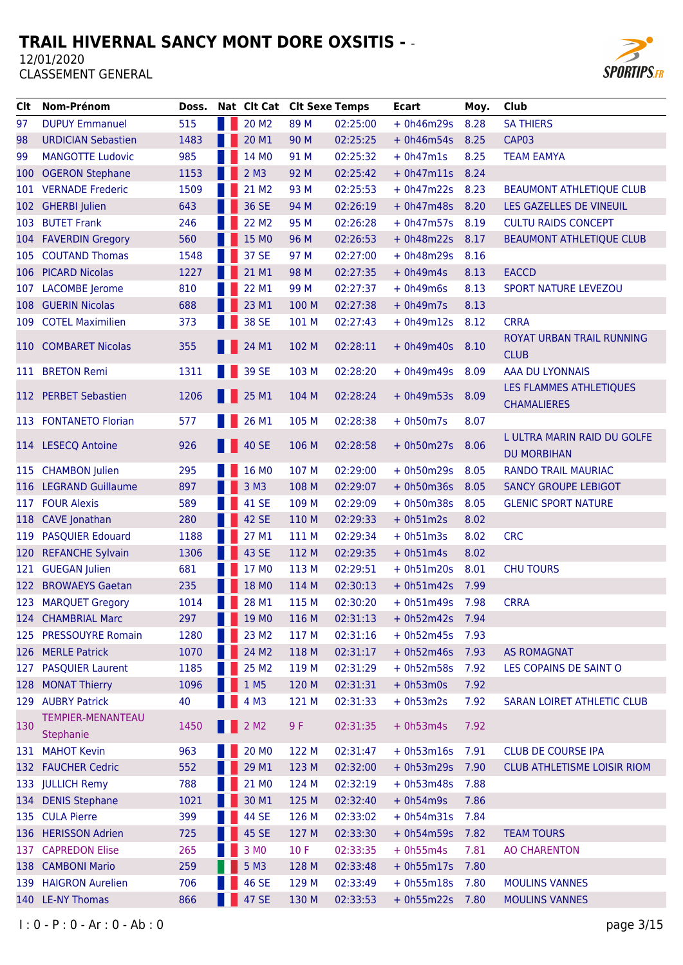

| Clt | Nom-Prénom                | Doss. |                    | Nat Clt Cat Clt Sexe Temps |       |          | <b>Ecart</b> | Moy. | <b>Club</b>                        |
|-----|---------------------------|-------|--------------------|----------------------------|-------|----------|--------------|------|------------------------------------|
| 97  | <b>DUPUY Emmanuel</b>     | 515   |                    | 20 M <sub>2</sub>          | 89 M  | 02:25:00 | $+ 0h46m29s$ | 8.28 | <b>SA THIERS</b>                   |
| 98  | <b>URDICIAN Sebastien</b> | 1483  |                    | 20 M1                      | 90 M  | 02:25:25 | $+ 0h46m54s$ | 8.25 | CAP03                              |
| 99  | <b>MANGOTTE Ludovic</b>   | 985   |                    | 14 MO                      | 91 M  | 02:25:32 | $+ 0h47m1s$  | 8.25 | <b>TEAM EAMYA</b>                  |
| 100 | <b>OGERON Stephane</b>    | 1153  |                    | $2$ M <sub>3</sub>         | 92 M  | 02:25:42 | $+ 0h47m11s$ | 8.24 |                                    |
| 101 | <b>VERNADE Frederic</b>   | 1509  |                    | 21 M <sub>2</sub>          | 93 M  | 02:25:53 | $+ 0h47m22s$ | 8.23 | <b>BEAUMONT ATHLETIQUE CLUB</b>    |
|     | 102 GHERBI Julien         | 643   |                    | 36 SE                      | 94 M  | 02:26:19 | $+ 0h47m48s$ | 8.20 | LES GAZELLES DE VINEUIL            |
| 103 | <b>BUTET Frank</b>        | 246   |                    | 22 M <sub>2</sub>          | 95 M  | 02:26:28 | $+ 0h47m57s$ | 8.19 | <b>CULTU RAIDS CONCEPT</b>         |
| 104 | <b>FAVERDIN Gregory</b>   | 560   |                    | 15 MO                      | 96 M  | 02:26:53 | $+ 0h48m22s$ | 8.17 | <b>BEAUMONT ATHLETIQUE CLUB</b>    |
| 105 | <b>COUTAND Thomas</b>     | 1548  |                    | 37 SE                      | 97 M  | 02:27:00 | $+ 0h48m29s$ | 8.16 |                                    |
| 106 | <b>PICARD Nicolas</b>     | 1227  |                    | 21 M1                      | 98 M  | 02:27:35 | $+ 0h49m4s$  | 8.13 | <b>EACCD</b>                       |
| 107 | <b>LACOMBE</b> Jerome     | 810   |                    | 22 M1                      | 99 M  | 02:27:37 | $+ 0h49m6s$  | 8.13 | <b>SPORT NATURE LEVEZOU</b>        |
| 108 | <b>GUERIN Nicolas</b>     | 688   |                    | 23 M1                      | 100 M | 02:27:38 | $+ 0h49m7s$  | 8.13 |                                    |
|     | 109 COTEL Maximilien      | 373   |                    | 38 SE                      | 101 M | 02:27:43 | $+ 0h49m12s$ | 8.12 | <b>CRRA</b>                        |
|     |                           |       |                    |                            |       |          |              |      | ROYAT URBAN TRAIL RUNNING          |
| 110 | <b>COMBARET Nicolas</b>   | 355   |                    | 24 M1                      | 102 M | 02:28:11 | $+ 0h49m40s$ | 8.10 | <b>CLUB</b>                        |
|     | 111 BRETON Remi           | 1311  |                    | 39 SE                      | 103 M | 02:28:20 | $+ 0h49m49s$ | 8.09 | AAA DU LYONNAIS                    |
|     |                           |       |                    |                            |       |          |              |      | LES FLAMMES ATHLETIQUES            |
|     | 112 PERBET Sebastien      | 1206  |                    | 25 M1                      | 104 M | 02:28:24 | $+ 0h49m53s$ | 8.09 | <b>CHAMALIERES</b>                 |
|     | 113 FONTANETO Florian     | 577   |                    | 26 M1                      | 105 M | 02:28:38 | $+ 0h50m7s$  | 8.07 |                                    |
|     |                           |       |                    |                            |       |          |              |      | L ULTRA MARIN RAID DU GOLFE        |
|     | 114 LESECQ Antoine        | 926   |                    | 40 SE                      | 106 M | 02:28:58 | $+ 0h50m27s$ | 8.06 | <b>DU MORBIHAN</b>                 |
| 115 | <b>CHAMBON Julien</b>     | 295   |                    | 16 MO                      | 107 M | 02:29:00 | $+ 0h50m29s$ | 8.05 | <b>RANDO TRAIL MAURIAC</b>         |
| 116 | <b>LEGRAND Guillaume</b>  | 897   |                    | 3 M3                       | 108 M | 02:29:07 | $+ 0h50m36s$ | 8.05 | <b>SANCY GROUPE LEBIGOT</b>        |
| 117 | <b>FOUR Alexis</b>        | 589   |                    | 41 SE                      | 109 M | 02:29:09 | $+ 0h50m38s$ | 8.05 | <b>GLENIC SPORT NATURE</b>         |
| 118 | <b>CAVE Jonathan</b>      | 280   |                    | 42 SE                      | 110 M | 02:29:33 | $+ 0h51m2s$  | 8.02 |                                    |
| 119 | <b>PASQUIER Edouard</b>   | 1188  |                    | 27 M1                      | 111 M | 02:29:34 | $+ 0h51m3s$  | 8.02 | <b>CRC</b>                         |
| 120 | <b>REFANCHE Sylvain</b>   | 1306  |                    | 43 SE                      | 112 M | 02:29:35 | $+ 0h51m4s$  | 8.02 |                                    |
| 121 | <b>GUEGAN Julien</b>      | 681   |                    | 17 MO                      | 113 M | 02:29:51 | $+ 0h51m20s$ | 8.01 | <b>CHU TOURS</b>                   |
| 122 | <b>BROWAEYS Gaetan</b>    | 235   |                    | 18 MO                      | 114 M | 02:30:13 | $+ 0h51m42s$ | 7.99 |                                    |
|     | 123 MARQUET Gregory       | 1014  |                    | 28 M1                      | 115 M | 02:30:20 | $+ 0h51m49s$ | 7.98 | <b>CRRA</b>                        |
|     | 124 CHAMBRIAL Marc        | 297   | <b>The Company</b> | 19 MO                      | 116 M | 02:31:13 | $+ 0h52m42s$ | 7.94 |                                    |
|     | 125 PRESSOUYRE Romain     | 1280  |                    | 23 M2                      | 117 M | 02:31:16 | $+ 0h52m45s$ | 7.93 |                                    |
|     | 126 MERLE Patrick         | 1070  |                    | 24 M2                      | 118 M | 02:31:17 | $+ 0h52m46s$ | 7.93 | <b>AS ROMAGNAT</b>                 |
| 127 | <b>PASQUIER Laurent</b>   | 1185  |                    | 25 M <sub>2</sub>          | 119 M | 02:31:29 | $+ 0h52m58s$ | 7.92 | LES COPAINS DE SAINT O             |
| 128 | <b>MONAT Thierry</b>      | 1096  |                    | 1 M <sub>5</sub>           | 120 M | 02:31:31 | $+ 0h53m0s$  | 7.92 |                                    |
|     | 129 AUBRY Patrick         | 40    |                    | 4 M3                       | 121 M | 02:31:33 | $+ 0h53m2s$  | 7.92 | <b>SARAN LOIRET ATHLETIC CLUB</b>  |
|     | TEMPIER-MENANTEAU         |       |                    |                            |       |          |              |      |                                    |
| 130 | Stephanie                 | 1450  |                    | 2 M <sub>2</sub>           | 9 F   | 02:31:35 | $+ 0h53m4s$  | 7.92 |                                    |
|     | 131 MAHOT Kevin           | 963   |                    | 20 M <sub>0</sub>          | 122 M | 02:31:47 | $+ 0h53m16s$ | 7.91 | <b>CLUB DE COURSE IPA</b>          |
|     | 132 FAUCHER Cedric        | 552   |                    | 29 M1                      | 123 M | 02:32:00 | $+ 0h53m29s$ | 7.90 | <b>CLUB ATHLETISME LOISIR RIOM</b> |
|     | 133 JULLICH Remy          | 788   |                    | 21 MO                      | 124 M | 02:32:19 | $+ 0h53m48s$ | 7.88 |                                    |
| 134 | <b>DENIS Stephane</b>     | 1021  |                    | 30 M1                      | 125 M | 02:32:40 | $+ 0h54m9s$  | 7.86 |                                    |
|     | 135 CULA Pierre           | 399   |                    | 44 SE                      | 126 M | 02:33:02 | $+ 0h54m31s$ | 7.84 |                                    |
|     | 136 HERISSON Adrien       | 725   |                    | 45 SE                      | 127 M | 02:33:30 | $+ 0h54m59s$ | 7.82 | <b>TEAM TOURS</b>                  |
|     | 137 CAPREDON Elise        | 265   |                    | 3 MO                       | 10F   | 02:33:35 | $+ 0h55m4s$  | 7.81 | <b>AO CHARENTON</b>                |
| 138 | <b>CAMBONI Mario</b>      | 259   |                    | 5 M3                       | 128 M | 02:33:48 | $+ 0h55m17s$ | 7.80 |                                    |
|     | 139 HAIGRON Aurelien      | 706   |                    | 46 SE                      | 129 M | 02:33:49 | $+ 0h55m18s$ | 7.80 | <b>MOULINS VANNES</b>              |
|     | 140 LE-NY Thomas          | 866   |                    | 47 SE                      | 130 M | 02:33:53 | $+ 0h55m22s$ | 7.80 | <b>MOULINS VANNES</b>              |
|     |                           |       |                    |                            |       |          |              |      |                                    |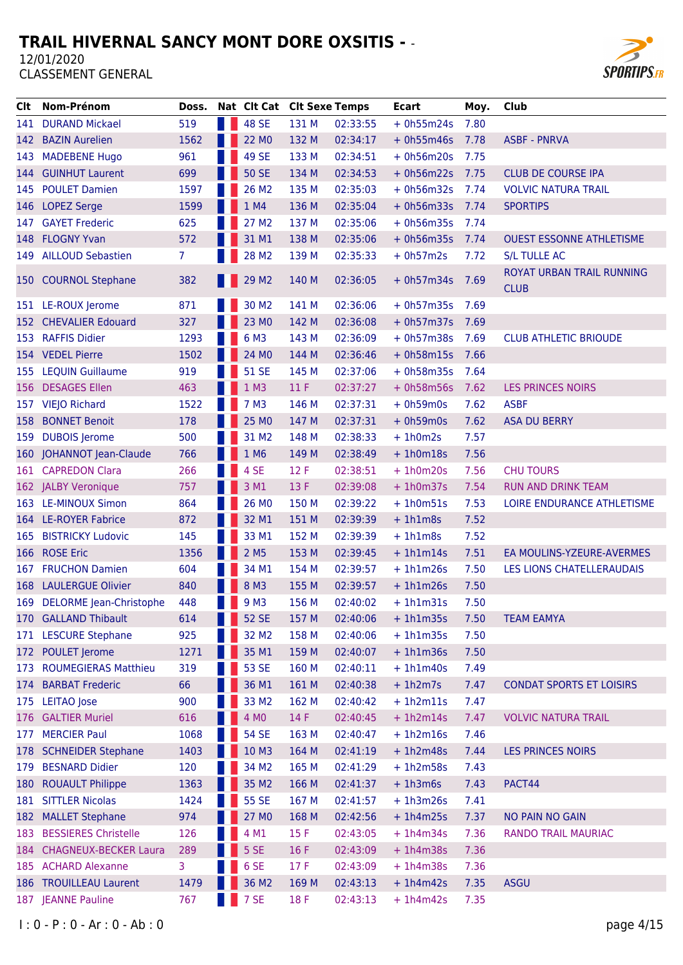

| CIt. | Nom-Prénom                  | Doss.          |   | Nat Clt Cat Clt Sexe Temps |       |          | <b>Ecart</b> | Moy. | Club                                     |
|------|-----------------------------|----------------|---|----------------------------|-------|----------|--------------|------|------------------------------------------|
|      | 141 DURAND Mickael          | 519            | H | <b>48 SE</b>               | 131 M | 02:33:55 | $+ 0h55m24s$ | 7.80 |                                          |
|      | 142 BAZIN Aurelien          | 1562           |   | 22 MO                      | 132 M | 02:34:17 | $+ 0h55m46s$ | 7.78 | <b>ASBF - PNRVA</b>                      |
| 143  | <b>MADEBENE Hugo</b>        | 961            |   | 49 SE                      | 133 M | 02:34:51 | $+ 0h56m20s$ | 7.75 |                                          |
|      | 144 GUINHUT Laurent         | 699            |   | <b>50 SE</b>               | 134 M | 02:34:53 | $+ 0h56m22s$ | 7.75 | <b>CLUB DE COURSE IPA</b>                |
|      | 145 POULET Damien           | 1597           |   | 26 M2                      | 135 M | 02:35:03 | $+ 0h56m32s$ | 7.74 | <b>VOLVIC NATURA TRAIL</b>               |
|      | 146 LOPEZ Serge             | 1599           |   | 1 M4                       | 136 M | 02:35:04 | $+ 0h56m33s$ | 7.74 | <b>SPORTIPS</b>                          |
| 147  | <b>GAYET Frederic</b>       | 625            |   | 27 M2                      | 137 M | 02:35:06 | $+ 0h56m35s$ | 7.74 |                                          |
|      | 148 FLOGNY Yvan             | 572            |   | 31 M1                      | 138 M | 02:35:06 | $+ 0h56m35s$ | 7.74 | <b>OUEST ESSONNE ATHLETISME</b>          |
|      | 149 AILLOUD Sebastien       | $\overline{7}$ |   | 28 M <sub>2</sub>          | 139 M | 02:35:33 | $+ 0h57m2s$  | 7.72 | <b>S/L TULLE AC</b>                      |
|      | 150 COURNOL Stephane        | 382            |   | <b>129 M2</b>              | 140 M | 02:36:05 | $+ 0h57m34s$ | 7.69 | ROYAT URBAN TRAIL RUNNING<br><b>CLUB</b> |
|      | 151 LE-ROUX Jerome          | 871            |   | 30 M <sub>2</sub>          | 141 M | 02:36:06 | $+ 0h57m35s$ | 7.69 |                                          |
|      | 152 CHEVALIER Edouard       | 327            |   | 23 MO                      | 142 M | 02:36:08 | $+ 0h57m37s$ | 7.69 |                                          |
| 153  | <b>RAFFIS Didier</b>        | 1293           |   | 6 M3                       | 143 M | 02:36:09 | $+ 0h57m38s$ | 7.69 | <b>CLUB ATHLETIC BRIOUDE</b>             |
|      | 154 VEDEL Pierre            | 1502           |   | 24 MO                      | 144 M | 02:36:46 | $+ 0h58m15s$ | 7.66 |                                          |
| 155  | <b>LEQUIN Guillaume</b>     | 919            |   | <b>51 SE</b>               | 145 M | 02:37:06 | $+ 0h58m35s$ | 7.64 |                                          |
|      | 156 DESAGES Ellen           | 463            |   | 1 M3                       | 11F   | 02:37:27 | $+ 0h58m56s$ | 7.62 | <b>LES PRINCES NOIRS</b>                 |
|      | 157 VIEJO Richard           | 1522           |   | 7 M3                       | 146 M | 02:37:31 | $+ 0h59m0s$  | 7.62 | <b>ASBF</b>                              |
| 158  | <b>BONNET Benoit</b>        | 178            |   | 25 MO                      | 147 M | 02:37:31 | $+ 0h59m0s$  | 7.62 | <b>ASA DU BERRY</b>                      |
| 159  | <b>DUBOIS Jerome</b>        | 500            |   | 31 M2                      | 148 M | 02:38:33 | $+1h0m2s$    | 7.57 |                                          |
|      | 160 JOHANNOT Jean-Claude    | 766            |   | 1 M6                       | 149 M | 02:38:49 | $+1h0m18s$   | 7.56 |                                          |
|      | 161 CAPREDON Clara          | 266            |   | 4 SE                       | 12 F  | 02:38:51 | $+1h0m20s$   | 7.56 | <b>CHU TOURS</b>                         |
|      | 162 JALBY Veronique         | 757            |   | 3 M <sub>1</sub>           | 13 F  | 02:39:08 | $+1h0m37s$   | 7.54 | <b>RUN AND DRINK TEAM</b>                |
|      | 163 LE-MINOUX Simon         | 864            |   | 26 MO                      | 150 M | 02:39:22 | $+1h0m51s$   | 7.53 | LOIRE ENDURANCE ATHLETISME               |
|      | 164 LE-ROYER Fabrice        | 872            |   | 32 M1                      | 151 M | 02:39:39 | $+1h1m8s$    | 7.52 |                                          |
| 165  | <b>BISTRICKY Ludovic</b>    | 145            |   | 33 M1                      | 152 M | 02:39:39 | $+1h1m8s$    | 7.52 |                                          |
| 166  | <b>ROSE Eric</b>            | 1356           |   | 2 M <sub>5</sub>           | 153 M | 02:39:45 | $+1h1m14s$   | 7.51 | EA MOULINS-YZEURE-AVERMES                |
| 167  | <b>FRUCHON Damien</b>       | 604            |   | 34 M1                      | 154 M | 02:39:57 | $+1h1m26s$   | 7.50 | LES LIONS CHATELLERAUDAIS                |
|      | 168 LAULERGUE Olivier       | 840            |   | 8 M3                       | 155 M | 02:39:57 | $+1h1m26s$   | 7.50 |                                          |
|      | 169 DELORME Jean-Christophe | 448            |   | 9 M3                       | 156 M | 02:40:02 | $+1h1m31s$   | 7.50 |                                          |
|      | 170 GALLAND Thibault        | 614            |   | <b>52 SE</b>               | 157 M | 02:40:06 | $+1h1m35s$   | 7.50 | <b>TEAM EAMYA</b>                        |
|      | 171 LESCURE Stephane        | 925            |   | 32 M2                      | 158 M | 02:40:06 | $+1h1m35s$   | 7.50 |                                          |
| 172  | <b>POULET</b> Jerome        | 1271           |   | 35 M1                      | 159 M | 02:40:07 | $+1h1m36s$   | 7.50 |                                          |
| 173  | <b>ROUMEGIERAS Matthieu</b> | 319            |   | 53 SE                      | 160 M | 02:40:11 | $+1h1m40s$   | 7.49 |                                          |
| 174  | <b>BARBAT Frederic</b>      | 66             |   | 36 M1                      | 161 M | 02:40:38 | $+1h2m7s$    | 7.47 | <b>CONDAT SPORTS ET LOISIRS</b>          |
| 175  | <b>LEITAO</b> Jose          | 900            |   | 33 M2                      | 162 M | 02:40:42 | $+1h2m11s$   | 7.47 |                                          |
| 176  | <b>GALTIER Muriel</b>       | 616            |   | 4 MO                       | 14 F  | 02:40:45 | $+1h2m14s$   | 7.47 | <b>VOLVIC NATURA TRAIL</b>               |
| 177  | <b>MERCIER Paul</b>         | 1068           |   | <b>54 SE</b>               | 163 M | 02:40:47 | $+1h2m16s$   | 7.46 |                                          |
| 178  | <b>SCHNEIDER Stephane</b>   | 1403           |   | 10 M3                      | 164 M | 02:41:19 | $+1h2m48s$   | 7.44 | <b>LES PRINCES NOIRS</b>                 |
| 179  | <b>BESNARD Didier</b>       | 120            |   | 34 M2                      | 165 M | 02:41:29 | $+1h2m58s$   | 7.43 |                                          |
| 180  | <b>ROUAULT Philippe</b>     | 1363           |   | 35 M2                      | 166 M | 02:41:37 | $+1h3m6s$    | 7.43 | PACT44                                   |
|      | 181 SITTLER Nicolas         | 1424           |   | 55 SE                      | 167 M | 02:41:57 | $+1h3m26s$   | 7.41 |                                          |
|      | 182 MALLET Stephane         | 974            |   | 27 MO                      | 168 M | 02:42:56 | $+1h4m25s$   | 7.37 | <b>NO PAIN NO GAIN</b>                   |
| 183  | <b>BESSIERES Christelle</b> | 126            |   | 4 M1                       | 15 F  | 02:43:05 | $+1h4m34s$   | 7.36 | RANDO TRAIL MAURIAC                      |
|      | 184 CHAGNEUX-BECKER Laura   | 289            |   | 5 SE                       | 16 F  | 02:43:09 | $+1h4m38s$   | 7.36 |                                          |
|      | 185 ACHARD Alexanne         | 3.             |   | 6 SE                       | 17F   | 02:43:09 | $+1h4m38s$   | 7.36 |                                          |
|      | 186 TROUILLEAU Laurent      | 1479           |   | 36 M2                      | 169 M | 02:43:13 | $+1h4m42s$   | 7.35 | <b>ASGU</b>                              |
|      | 187 JEANNE Pauline          | 767            |   | 7 SE                       | 18 F  | 02:43:13 | $+1h4m42s$   | 7.35 |                                          |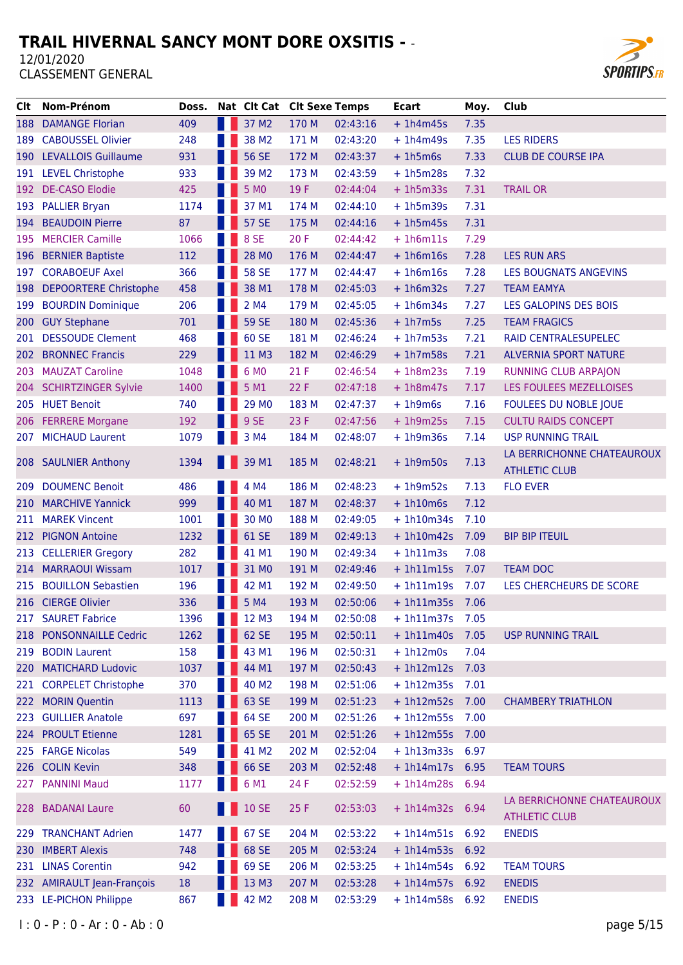

| Clt | Nom-Prénom                   | Doss. |   | Nat Clt Cat Clt Sexe Temps |       |          | <b>Ecart</b>      | Moy. | Club                         |
|-----|------------------------------|-------|---|----------------------------|-------|----------|-------------------|------|------------------------------|
| 188 | <b>DAMANGE Florian</b>       | 409   | H | 37 M2                      | 170 M | 02:43:16 | $+1h4m45s$        | 7.35 |                              |
| 189 | <b>CABOUSSEL Olivier</b>     | 248   |   | 38 M2                      | 171 M | 02:43:20 | $+1h4m49s$        | 7.35 | <b>LES RIDERS</b>            |
| 190 | <b>LEVALLOIS Guillaume</b>   | 931   |   | <b>56 SE</b>               | 172 M | 02:43:37 | $+1h5m6s$         | 7.33 | <b>CLUB DE COURSE IPA</b>    |
| 191 | <b>LEVEL Christophe</b>      | 933   |   | 39 M <sub>2</sub>          | 173 M | 02:43:59 | $+1h5m28s$        | 7.32 |                              |
| 192 | <b>DE-CASO Elodie</b>        | 425   |   | 5 M <sub>0</sub>           | 19F   | 02:44:04 | $+1h5m33s$        | 7.31 | <b>TRAIL OR</b>              |
| 193 | <b>PALLIER Bryan</b>         | 1174  |   | 37 M1                      | 174 M | 02:44:10 | $+1h5m39s$        | 7.31 |                              |
| 194 | <b>BEAUDOIN Pierre</b>       | 87    |   | <b>57 SE</b>               | 175 M | 02:44:16 | $+1h5m45s$        | 7.31 |                              |
| 195 | <b>MERCIER Camille</b>       | 1066  |   | 8 SE                       | 20F   | 02:44:42 | $+1h6m11s$        | 7.29 |                              |
| 196 | <b>BERNIER Baptiste</b>      | 112   |   | 28 MO                      | 176 M | 02:44:47 | $+1h6m16s$        | 7.28 | <b>LES RUN ARS</b>           |
| 197 | <b>CORABOEUF Axel</b>        | 366   |   | <b>58 SE</b>               | 177 M | 02:44:47 | $+1h6m16s$        | 7.28 | LES BOUGNATS ANGEVINS        |
| 198 | <b>DEPOORTERE Christophe</b> | 458   |   | 38 M1                      | 178 M | 02:45:03 | $+1h6m32s$        | 7.27 | <b>TEAM EAMYA</b>            |
| 199 | <b>BOURDIN Dominique</b>     | 206   |   | 2 M4                       | 179 M | 02:45:05 | $+1h6m34s$        | 7.27 | LES GALOPINS DES BOIS        |
| 200 | <b>GUY Stephane</b>          | 701   |   | <b>59 SE</b>               | 180 M | 02:45:36 | $+1h7m5s$         | 7.25 | <b>TEAM FRAGICS</b>          |
| 201 | <b>DESSOUDE Clement</b>      | 468   |   | 60 SE                      | 181 M | 02:46:24 | $+1h7m53s$        | 7.21 | RAID CENTRALESUPELEC         |
| 202 | <b>BRONNEC Francis</b>       | 229   |   | 11 M3                      | 182 M | 02:46:29 | $+1h7m58s$        | 7.21 | <b>ALVERNIA SPORT NATURE</b> |
| 203 | <b>MAUZAT Caroline</b>       | 1048  |   | 6 MO                       | 21F   | 02:46:54 | $+1h8m23s$        | 7.19 | <b>RUNNING CLUB ARPAJON</b>  |
| 204 | <b>SCHIRTZINGER Sylvie</b>   | 1400  |   | 5 M1                       | 22 F  | 02:47:18 | $+1h8m47s$        | 7.17 | LES FOULEES MEZELLOISES      |
|     | 205 HUET Benoit              | 740   |   | 29 MO                      | 183 M | 02:47:37 | $+1h9m6s$         | 7.16 | FOULEES DU NOBLE JOUE        |
| 206 | <b>FERRERE Morgane</b>       | 192   |   | 9 SE                       | 23 F  | 02:47:56 | $+1h9m25s$        | 7.15 | <b>CULTU RAIDS CONCEPT</b>   |
|     | 207 MICHAUD Laurent          | 1079  |   | 3 M4                       | 184 M | 02:48:07 | $+1h9m36s$        | 7.14 | <b>USP RUNNING TRAIL</b>     |
|     |                              |       |   |                            |       |          |                   |      | LA BERRICHONNE CHATEAUROUX   |
|     | 208 SAULNIER Anthony         | 1394  |   | 39 M1                      | 185 M | 02:48:21 | $+1h9m50s$        | 7.13 | <b>ATHLETIC CLUB</b>         |
| 209 | <b>DOUMENC Benoit</b>        | 486   |   | 4 M4                       | 186 M | 02:48:23 | $+1h9m52s$        | 7.13 | <b>FLO EVER</b>              |
| 210 | <b>MARCHIVE Yannick</b>      | 999   |   | 40 M1                      | 187 M | 02:48:37 | $+1h10m6s$        | 7.12 |                              |
| 211 | <b>MAREK Vincent</b>         | 1001  |   | 30 MO                      | 188 M | 02:49:05 | $+1h10m34s$       | 7.10 |                              |
| 212 | <b>PIGNON Antoine</b>        | 1232  |   | 61 SE                      | 189 M | 02:49:13 | $+1h10m42s$       | 7.09 | <b>BIP BIP ITEUIL</b>        |
| 213 | <b>CELLERIER Gregory</b>     | 282   |   | 41 M1                      | 190 M | 02:49:34 | $+1h11m3s$        | 7.08 |                              |
| 214 | <b>MARRAOUI Wissam</b>       | 1017  |   | 31 MO                      | 191 M | 02:49:46 | $+1h11m15s$       | 7.07 | <b>TEAM DOC</b>              |
| 215 | <b>BOUILLON Sebastien</b>    | 196   |   | 42 M1                      | 192 M | 02:49:50 | $+1h11m19s$       | 7.07 | LES CHERCHEURS DE SCORE      |
| 216 | <b>CIERGE Olivier</b>        | 336   |   | 5 M4                       | 193 M | 02:50:06 | $+1h11m35s$       | 7.06 |                              |
| 217 | <b>SAURET Fabrice</b>        | 1396  |   | 12 M3                      | 194 M | 02:50:08 | $+ 1h11m37s$      | 7.05 |                              |
|     | 218 PONSONNAILLE Cedric      | 1262  |   | 62 SE                      | 195 M | 02:50:11 | $+ 1h11m40s$      | 7.05 | <b>USP RUNNING TRAIL</b>     |
| 219 | <b>BODIN Laurent</b>         | 158   |   | 43 M1                      | 196 M | 02:50:31 | $+1h12m0s$        | 7.04 |                              |
| 220 | <b>MATICHARD Ludovic</b>     | 1037  |   | 44 M1                      | 197 M | 02:50:43 | $+ 1h12m12s$      | 7.03 |                              |
| 221 | <b>CORPELET Christophe</b>   | 370   |   | 40 M2                      | 198 M | 02:51:06 | $+1h12m35s$       | 7.01 |                              |
|     | 222 MORIN Quentin            | 1113  |   | 63 SE                      | 199 M | 02:51:23 | $+ 1h12m52s$      | 7.00 | <b>CHAMBERY TRIATHLON</b>    |
|     | 223 GUILLIER Anatole         | 697   |   | 64 SE                      | 200 M | 02:51:26 | $+1h12m55s$       | 7.00 |                              |
|     | 224 PROULT Etienne           | 1281  |   | 65 SE                      | 201 M | 02:51:26 | $+1h12m55s$       | 7.00 |                              |
|     | 225 FARGE Nicolas            | 549   |   | 41 M2                      | 202 M | 02:52:04 | + 1h13m33s 6.97   |      |                              |
|     | 226 COLIN Kevin              | 348   |   | 66 SE                      | 203 M | 02:52:48 | $+ 1h14m17s$      | 6.95 | <b>TEAM TOURS</b>            |
|     | 227 PANNINI Maud             | 1177  |   | 6 M1                       | 24 F  | 02:52:59 | + 1h14m28s 6.94   |      |                              |
|     | 228 BADANAI Laure            | 60    |   | 10 SE                      | 25 F  | 02:53:03 | $+1h14m32s$       | 6.94 | LA BERRICHONNE CHATEAUROUX   |
|     |                              |       |   |                            |       |          |                   |      | <b>ATHLETIC CLUB</b>         |
| 229 | <b>TRANCHANT Adrien</b>      | 1477  |   | 67 SE                      | 204 M | 02:53:22 | $+ 1h14m51s 6.92$ |      | <b>ENEDIS</b>                |
| 230 | <b>IMBERT Alexis</b>         | 748   |   | 68 SE                      | 205 M | 02:53:24 | $+ 1h14m53s$      | 6.92 |                              |
|     | 231 LINAS Corentin           | 942   |   | 69 SE                      | 206 M | 02:53:25 | $+1h14m54s$       | 6.92 | <b>TEAM TOURS</b>            |
|     | 232 AMIRAULT Jean-François   | 18    |   | 13 M3                      | 207 M | 02:53:28 | $+ 1h14m57s 6.92$ |      | <b>ENEDIS</b>                |
|     | 233 LE-PICHON Philippe       | 867   |   | 42 M2                      | 208 M | 02:53:29 | + 1h14m58s 6.92   |      | <b>ENEDIS</b>                |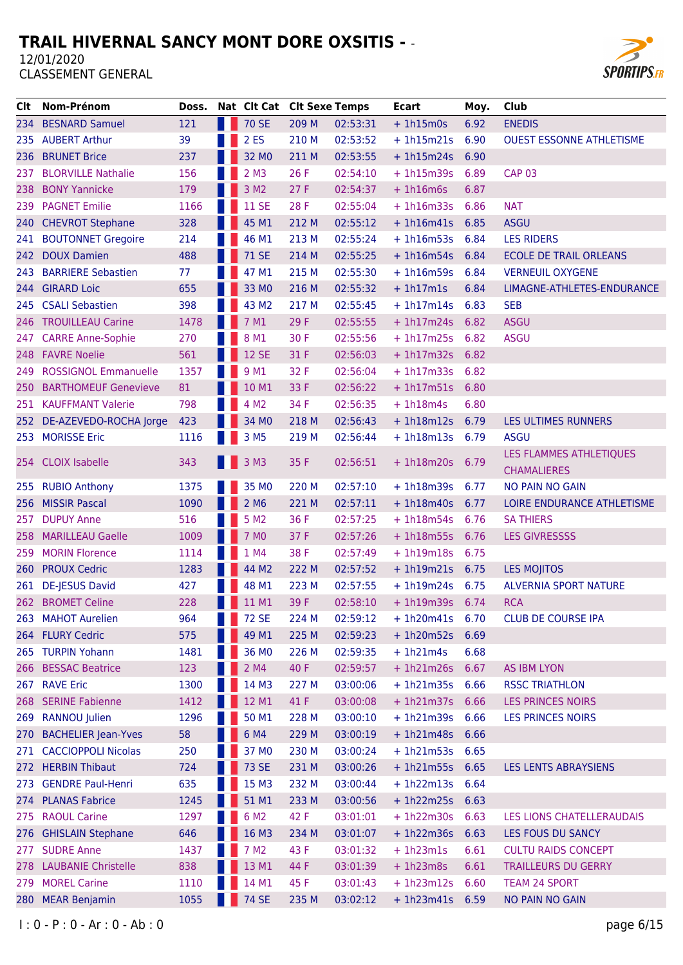

| CIt   | Nom-Prénom                  | Doss. |     | Nat Clt Cat Clt Sexe Temps |       |          | <b>Ecart</b>      | Moy. | <b>Club</b>                     |
|-------|-----------------------------|-------|-----|----------------------------|-------|----------|-------------------|------|---------------------------------|
|       | 234 BESNARD Samuel          | 121   |     | <b>70 SE</b>               | 209 M | 02:53:31 | $+1h15m0s$        | 6.92 | <b>ENEDIS</b>                   |
| 235   | <b>AUBERT Arthur</b>        | 39    |     | 2 ES                       | 210 M | 02:53:52 | $+1h15m21s$       | 6.90 | <b>OUEST ESSONNE ATHLETISME</b> |
| 236   | <b>BRUNET Brice</b>         | 237   |     | 32 MO                      | 211 M | 02:53:55 | $+1h15m24s$       | 6.90 |                                 |
| 237   | <b>BLORVILLE Nathalie</b>   | 156   |     | $2$ M <sub>3</sub>         | 26 F  | 02:54:10 | $+1h15m39s$       | 6.89 | <b>CAP 03</b>                   |
| 238   | <b>BONY Yannicke</b>        | 179   |     | 3 M <sub>2</sub>           | 27F   | 02:54:37 | $+1h16m6s$        | 6.87 |                                 |
| 239   | <b>PAGNET Emilie</b>        | 1166  |     | <b>11 SE</b>               | 28 F  | 02:55:04 | $+1h16m33s$       | 6.86 | <b>NAT</b>                      |
| 240   | <b>CHEVROT Stephane</b>     | 328   |     | 45 M1                      | 212 M | 02:55:12 | $+1h16m41s$       | 6.85 | <b>ASGU</b>                     |
| 241   | <b>BOUTONNET Gregoire</b>   | 214   |     | 46 M1                      | 213 M | 02:55:24 | $+1h16m53s$       | 6.84 | <b>LES RIDERS</b>               |
| 242.  | <b>DOUX Damien</b>          | 488   |     | <b>71 SE</b>               | 214 M | 02:55:25 | $+1h16m54s$       | 6.84 | <b>ECOLE DE TRAIL ORLEANS</b>   |
| 243   | <b>BARRIERE Sebastien</b>   | 77    |     | 47 M1                      | 215 M | 02:55:30 | $+1h16m59s$       | 6.84 | <b>VERNEUIL OXYGENE</b>         |
| 244.  | <b>GIRARD Loic</b>          | 655   |     | 33 MO                      | 216 M | 02:55:32 | $+1h17m1s$        | 6.84 | LIMAGNE-ATHLETES-ENDURANCE      |
| 245   | <b>CSALI Sebastien</b>      | 398   |     | 43 M2                      | 217 M | 02:55:45 | $+1h17m14s$       | 6.83 | <b>SEB</b>                      |
| 246.  | <b>TROUILLEAU Carine</b>    | 1478  |     | 7 M1                       | 29 F  | 02:55:55 | $+1h17m24s$       | 6.82 | <b>ASGU</b>                     |
| 247   | <b>CARRE Anne-Sophie</b>    | 270   |     | 8 M1                       | 30 F  | 02:55:56 | $+ 1h17m25s$      | 6.82 | <b>ASGU</b>                     |
|       | 248 FAVRE Noelie            | 561   |     | <b>12 SE</b>               | 31 F  | 02:56:03 | + 1h17m32s 6.82   |      |                                 |
| 249   | <b>ROSSIGNOL Emmanuelle</b> | 1357  |     | 9 M1                       | 32 F  | 02:56:04 | $+ 1h17m33s 6.82$ |      |                                 |
| 250   | <b>BARTHOMEUF Genevieve</b> | 81    |     | 10 M1                      | 33 F  | 02:56:22 | $+1h17m51s$       | 6.80 |                                 |
| 251   | <b>KAUFFMANT Valerie</b>    | 798   |     | 4 M <sub>2</sub>           | 34 F  | 02:56:35 | $+1h18m4s$        | 6.80 |                                 |
| 252 - | DE-AZEVEDO-ROCHA Jorge      | 423   |     | 34 MO                      | 218 M | 02:56:43 | $+1h18m12s$       | 6.79 | LES ULTIMES RUNNERS             |
|       | 253 MORISSE Eric            | 1116  |     | 3 M <sub>5</sub>           | 219 M | 02:56:44 | $+ 1h18m13s 6.79$ |      | <b>ASGU</b>                     |
|       |                             |       |     |                            |       |          |                   |      | LES FLAMMES ATHLETIQUES         |
|       | 254 CLOIX Isabelle          | 343   |     | <b>8</b> 3 M3              | 35 F  | 02:56:51 | $+1h18m20s$       | 6.79 | <b>CHAMALIERES</b>              |
| 255   | <b>RUBIO Anthony</b>        | 1375  |     | 35 MO                      | 220 M | 02:57:10 | $+1h18m39s$       | 6.77 | <b>NO PAIN NO GAIN</b>          |
| 256   | <b>MISSIR Pascal</b>        | 1090  |     | 2 M <sub>6</sub>           | 221 M | 02:57:11 | $+1h18m40s$       | 6.77 | LOIRE ENDURANCE ATHLETISME      |
| 257   | <b>DUPUY Anne</b>           | 516   |     | 5 M <sub>2</sub>           | 36 F  | 02:57:25 | $+1h18m54s$       | 6.76 | <b>SA THIERS</b>                |
| 258   | <b>MARILLEAU Gaelle</b>     | 1009  |     | 7 M <sub>0</sub>           | 37 F  | 02:57:26 | + 1h18m55s 6.76   |      | <b>LES GIVRESSSS</b>            |
| 259   | <b>MORIN Florence</b>       | 1114  |     | 1 M4                       | 38 F  | 02:57:49 | $+ 1h19m18s$      | 6.75 |                                 |
| 260   | <b>PROUX Cedric</b>         | 1283  |     | 44 M2                      | 222 M | 02:57:52 | $+1h19m21s$       | 6.75 | <b>LES MOJITOS</b>              |
| 261   | <b>DE-JESUS David</b>       | 427   |     | 48 M1                      | 223 M | 02:57:55 | $+1h19m24s$       | 6.75 | <b>ALVERNIA SPORT NATURE</b>    |
|       | 262 BROMET Celine           | 228   | . . | 11 M1                      | 39 F  | 02:58:10 | + 1h19m39s 6.74   |      | <b>RCA</b>                      |
| 263   | <b>MAHOT Aurelien</b>       | 964   |     | 72 SE                      | 224 M | 02:59:12 | $+1h20m41s$       | 6.70 | <b>CLUB DE COURSE IPA</b>       |
|       | 264 FLURY Cedric            | 575   |     | 49 M1                      | 225 M | 02:59:23 | $+1h20m52s$       | 6.69 |                                 |
|       | 265 TURPIN Yohann           | 1481  |     | 36 MO                      | 226 M | 02:59:35 | $+ 1h21m4s$       | 6.68 |                                 |
| 266   | <b>BESSAC Beatrice</b>      | 123   |     | 2 M4                       | 40 F  | 02:59:57 | $+1h21m26s$       | 6.67 | <b>AS IBM LYON</b>              |
|       | 267 RAVE Eric               | 1300  |     | 14 M3                      | 227 M | 03:00:06 | $+ 1h21m35s 6.66$ |      | <b>RSSC TRIATHLON</b>           |
| 268   | <b>SERINE Fabienne</b>      | 1412  |     | 12 M1                      | 41 F  | 03:00:08 | + 1h21m37s 6.66   |      | <b>LES PRINCES NOIRS</b>        |
| 269   | <b>RANNOU Julien</b>        | 1296  |     | 50 M1                      | 228 M | 03:00:10 | $+ 1h21m39s 6.66$ |      | <b>LES PRINCES NOIRS</b>        |
| 270   | <b>BACHELIER Jean-Yves</b>  | 58    |     | 6 M4                       | 229 M | 03:00:19 | $+1h21m48s$       | 6.66 |                                 |
| 271   | <b>CACCIOPPOLI Nicolas</b>  | 250   |     | 37 MO                      | 230 M | 03:00:24 | $+1h21m53s$       | 6.65 |                                 |
| 272   | <b>HERBIN Thibaut</b>       | 724   |     | <b>73 SE</b>               | 231 M | 03:00:26 | $+1h21m55s$       | 6.65 | <b>LES LENTS ABRAYSIENS</b>     |
| 273   | <b>GENDRE Paul-Henri</b>    | 635   |     | 15 M3                      | 232 M | 03:00:44 | $+1h22m13s$       | 6.64 |                                 |
| 274.  | <b>PLANAS Fabrice</b>       | 1245  |     | 51 M1                      | 233 M | 03:00:56 | $+ 1h22m25s 6.63$ |      |                                 |
| 275   | <b>RAOUL Carine</b>         | 1297  |     | 6 M <sub>2</sub>           | 42 F  | 03:01:01 | $+1h22m30s$       | 6.63 | LES LIONS CHATELLERAUDAIS       |
| 276   | <b>GHISLAIN Stephane</b>    | 646   |     | 16 M3                      | 234 M | 03:01:07 | $+1h22m36s$       | 6.63 | LES FOUS DU SANCY               |
| 277   | <b>SUDRE Anne</b>           | 1437  |     | 7 M <sub>2</sub>           | 43 F  | 03:01:32 | $+1h23m1s$        | 6.61 | <b>CULTU RAIDS CONCEPT</b>      |
| 278   | <b>LAUBANIE Christelle</b>  | 838   |     | 13 M1                      | 44 F  | 03:01:39 | $+1h23m8s$        | 6.61 | <b>TRAILLEURS DU GERRY</b>      |
| 279   | <b>MOREL Carine</b>         | 1110  |     | 14 M1                      | 45 F  | 03:01:43 | $+1h23m12s$       | 6.60 | <b>TEAM 24 SPORT</b>            |
| 280   | <b>MEAR Benjamin</b>        | 1055  |     | <b>74 SE</b>               | 235 M | 03:02:12 | $+ 1h23m41s$      | 6.59 | NO PAIN NO GAIN                 |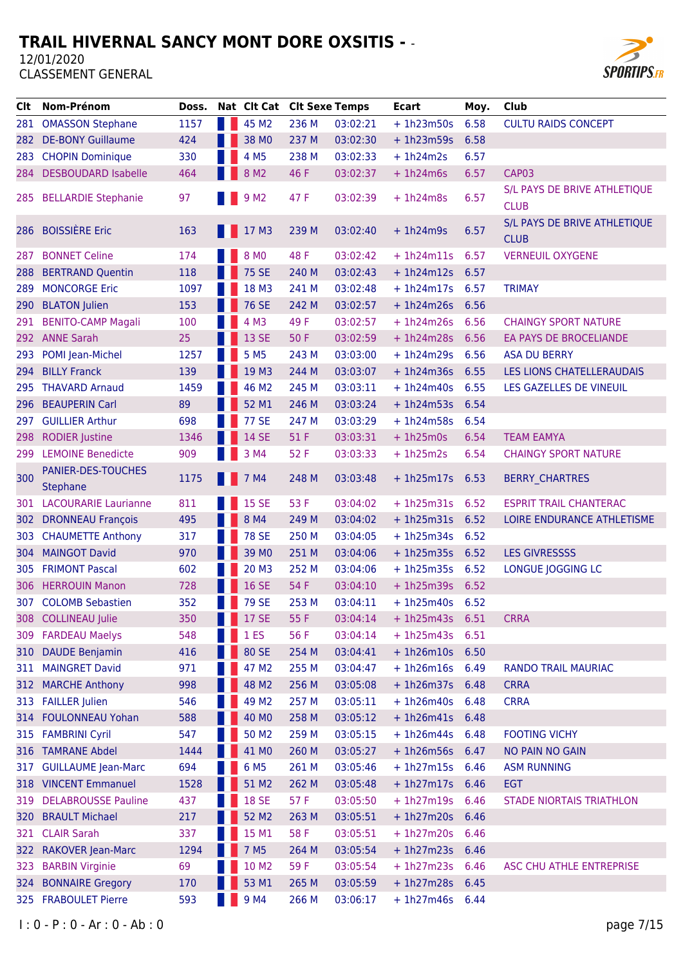

| Clt   | Nom-Prénom                            | Doss. | Nat Clt Cat Clt Sexe Temps |       |          | <b>Ecart</b>      | Moy. | Club                                        |
|-------|---------------------------------------|-------|----------------------------|-------|----------|-------------------|------|---------------------------------------------|
| 281   | <b>OMASSON Stephane</b>               | 1157  | 45 M2                      | 236 M | 03:02:21 | $+ 1h23m50s$      | 6.58 | <b>CULTU RAIDS CONCEPT</b>                  |
| 282   | <b>DE-BONY Guillaume</b>              | 424   | 38 MO                      | 237 M | 03:02:30 | $+ 1h23m59s$      | 6.58 |                                             |
| 283   | <b>CHOPIN Dominique</b>               | 330   | 4 M <sub>5</sub>           | 238 M | 03:02:33 | $+1h24m2s$        | 6.57 |                                             |
| 284 - | <b>DESBOUDARD Isabelle</b>            | 464   | 8 M <sub>2</sub>           | 46 F  | 03:02:37 | $+1h24m6s$        | 6.57 | CAP03                                       |
| 285   | <b>BELLARDIE Stephanie</b>            | 97    | 9 M <sub>2</sub>           | 47 F  | 03:02:39 | $+1h24m8s$        | 6.57 | S/L PAYS DE BRIVE ATHLETIQUE<br><b>CLUB</b> |
| 286   | <b>BOISSIÈRE Eric</b>                 | 163   | 17 <sub>M3</sub>           | 239 M | 03:02:40 | $+1h24m9s$        | 6.57 | S/L PAYS DE BRIVE ATHLETIQUE<br><b>CLUB</b> |
| 287   | <b>BONNET Celine</b>                  | 174   | 8 MO                       | 48 F  | 03:02:42 | $+1h24m11s$       | 6.57 | <b>VERNEUIL OXYGENE</b>                     |
| 288   | <b>BERTRAND Quentin</b>               | 118   | <b>75 SE</b>               | 240 M | 03:02:43 | $+ 1h24m12s$      | 6.57 |                                             |
| 289   | <b>MONCORGE Eric</b>                  | 1097  | 18 M3                      | 241 M | 03:02:48 | $+1h24m17s$       | 6.57 | <b>TRIMAY</b>                               |
| 290   | <b>BLATON Julien</b>                  | 153   | <b>76 SE</b>               | 242 M | 03:02:57 | $+1h24m26s$       | 6.56 |                                             |
| 291   | <b>BENITO-CAMP Magali</b>             | 100   | 4 M3                       | 49 F  | 03:02:57 | $+1h24m26s$       | 6.56 | <b>CHAINGY SPORT NATURE</b>                 |
|       | 292 ANNE Sarah                        | 25    | 13 SE                      | 50 F  | 03:02:59 | $+1h24m28s$       | 6.56 | EA PAYS DE BROCELIANDE                      |
| 293   | POMI Jean-Michel                      | 1257  | 5 M <sub>5</sub>           | 243 M | 03:03:00 | $+1h24m29s$       | 6.56 | <b>ASA DU BERRY</b>                         |
| 294   | <b>BILLY Franck</b>                   | 139   | 19 M3                      | 244 M | 03:03:07 | $+1h24m36s$       | 6.55 | LES LIONS CHATELLERAUDAIS                   |
| 295   | <b>THAVARD Arnaud</b>                 | 1459  | 46 M2                      | 245 M | 03:03:11 | $+1h24m40s$       | 6.55 | LES GAZELLES DE VINEUIL                     |
| 296   | <b>BEAUPERIN Carl</b>                 | 89    | 52 M1                      | 246 M | 03:03:24 | $+1h24m53s$       | 6.54 |                                             |
| 297   | <b>GUILLIER Arthur</b>                | 698   | <b>77 SE</b>               | 247 M | 03:03:29 | $+1h24m58s$       | 6.54 |                                             |
| 298   | <b>RODIER Justine</b>                 | 1346  | 14 SE                      | 51 F  | 03:03:31 | $+1h25m0s$        | 6.54 | <b>TEAM EAMYA</b>                           |
| 299   | <b>LEMOINE Benedicte</b>              | 909   | 3 M4                       | 52 F  | 03:03:33 | $+1h25m2s$        | 6.54 | <b>CHAINGY SPORT NATURE</b>                 |
| 300   | PANIER-DES-TOUCHES<br><b>Stephane</b> | 1175  | 7 M4                       | 248 M | 03:03:48 | $+ 1h25m17s$      | 6.53 | <b>BERRY_CHARTRES</b>                       |
|       | 301 LACOURARIE Laurianne              | 811   | 15 SE                      | 53 F  | 03:04:02 | $+1h25m31s$       | 6.52 | <b>ESPRIT TRAIL CHANTERAC</b>               |
| 302   | <b>DRONNEAU François</b>              | 495   | 8 M4                       | 249 M | 03:04:02 | $+ 1h25m31s$      | 6.52 | LOIRE ENDURANCE ATHLETISME                  |
| 303   | <b>CHAUMETTE Anthony</b>              | 317   | <b>78 SE</b>               | 250 M | 03:04:05 | $+1h25m34s$       | 6.52 |                                             |
| 304   | <b>MAINGOT David</b>                  | 970   | 39 MO                      | 251 M | 03:04:06 | $+1h25m35s$       | 6.52 | <b>LES GIVRESSSS</b>                        |
| 305   | <b>FRIMONT Pascal</b>                 | 602   | 20 M3                      | 252 M | 03:04:06 | $+1h25m35s$       | 6.52 | LONGUE JOGGING LC                           |
|       | 306 HERROUIN Manon                    | 728   | 16 SE                      | 54 F  | 03:04:10 | $+1h25m39s$       | 6.52 |                                             |
|       | 307 COLOMB Sebastien                  | 352   | <b>79 SE</b>               | 253 M | 03:04:11 | $+ 1h25m40s$ 6.52 |      |                                             |
|       | 308 COLLINEAU Julie                   | 350   | <b>17 SE</b>               | 55 F  | 03:04:14 | $+ 1h25m43s 6.51$ |      | <b>CRRA</b>                                 |
|       | 309 FARDEAU Maelys                    | 548   | 1 <sub>ES</sub>            | 56 F  | 03:04:14 | $+1h25m43s$       | 6.51 |                                             |
| 310   | <b>DAUDE Benjamin</b>                 | 416   | 80 SE                      | 254 M | 03:04:41 | $+1h26m10s$       | 6.50 |                                             |
| 311   | <b>MAINGRET David</b>                 | 971   | 47 M2                      | 255 M | 03:04:47 | $+1h26m16s$       | 6.49 | <b>RANDO TRAIL MAURIAC</b>                  |
| 312   | <b>MARCHE Anthony</b>                 | 998   | 48 M2                      | 256 M | 03:05:08 | $+1h26m37s$       | 6.48 | <b>CRRA</b>                                 |
| 313   | <b>FAILLER Julien</b>                 | 546   | 49 M <sub>2</sub>          | 257 M | 03:05:11 | + 1h26m40s 6.48   |      | <b>CRRA</b>                                 |
|       | 314 FOULONNEAU Yohan                  | 588   | 40 MO                      | 258 M | 03:05:12 | $+1h26m41s$       | 6.48 |                                             |
| 315   | <b>FAMBRINI Cyril</b>                 | 547   | 50 M2                      | 259 M | 03:05:15 | $+1h26m44s$       | 6.48 | <b>FOOTING VICHY</b>                        |
|       | 316 TAMRANE Abdel                     | 1444  | 41 MO                      | 260 M | 03:05:27 | $+1h26m56s$       | 6.47 | NO PAIN NO GAIN                             |
| 317   | <b>GUILLAUME Jean-Marc</b>            | 694   | 6 M <sub>5</sub>           | 261 M | 03:05:46 | $+1h27m15s$       | 6.46 | <b>ASM RUNNING</b>                          |
|       | 318 VINCENT Emmanuel                  | 1528  | 51 M2                      | 262 M | 03:05:48 | $+ 1h27m17s 6.46$ |      | <b>EGT</b>                                  |
| 319   | <b>DELABROUSSE Pauline</b>            | 437   | <b>18 SE</b>               | 57 F  | 03:05:50 | $+1h27m19s$       | 6.46 | <b>STADE NIORTAIS TRIATHLON</b>             |
| 320   | <b>BRAULT Michael</b>                 | 217   | 52 M2                      | 263 M | 03:05:51 | $+1h27m20s$       | 6.46 |                                             |
| 321 - | <b>CLAIR Sarah</b>                    | 337   | 15 M1                      | 58 F  | 03:05:51 | + 1h27m20s 6.46   |      |                                             |
| 322   | <b>RAKOVER Jean-Marc</b>              | 1294  | 7 M <sub>5</sub>           | 264 M | 03:05:54 | $+ 1h27m23s$ 6.46 |      |                                             |
| 323   | <b>BARBIN Virginie</b>                | 69    | 10 M2                      | 59F   | 03:05:54 | $+ 1h27m23s$ 6.46 |      | ASC CHU ATHLE ENTREPRISE                    |
| 324   | <b>BONNAIRE Gregory</b>               | 170   | 53 M1                      | 265 M | 03:05:59 | $+1h27m28s$       | 6.45 |                                             |
| 325   | <b>FRABOULET Pierre</b>               | 593   | 9 M4                       | 266 M | 03:06:17 | $+1h27m46s$       | 6.44 |                                             |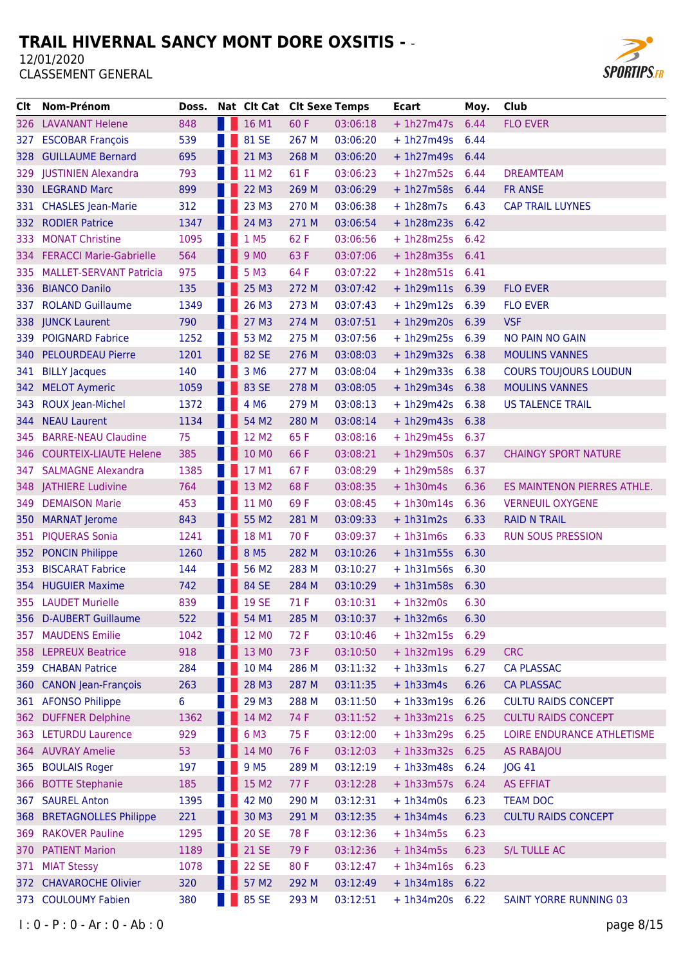

| CIt.  | Nom-Prénom                     | Doss. |                   | Nat Clt Cat Clt Sexe Temps |       |          | <b>Ecart</b> | Moy. | Club                          |
|-------|--------------------------------|-------|-------------------|----------------------------|-------|----------|--------------|------|-------------------------------|
|       | 326 LAVANANT Helene            | 848   | H.                | 16 M1                      | 60 F  | 03:06:18 | $+1h27m47s$  | 6.44 | <b>FLO EVER</b>               |
| 327   | <b>ESCOBAR François</b>        | 539   |                   | 81 SE                      | 267 M | 03:06:20 | $+1h27m49s$  | 6.44 |                               |
| 328 - | <b>GUILLAUME Bernard</b>       | 695   |                   | 21 M3                      | 268 M | 03:06:20 | $+1h27m49s$  | 6.44 |                               |
| 329   | <b>JUSTINIEN Alexandra</b>     | 793   |                   | 11 M2                      | 61 F  | 03:06:23 | $+1h27m52s$  | 6.44 | <b>DREAMTEAM</b>              |
|       | 330 LEGRAND Marc               | 899   |                   | 22 M3                      | 269 M | 03:06:29 | $+1h27m58s$  | 6.44 | <b>FR ANSE</b>                |
|       | 331 CHASLES Jean-Marie         | 312   |                   | 23 M3                      | 270 M | 03:06:38 | $+ 1h28m7s$  | 6.43 | <b>CAP TRAIL LUYNES</b>       |
|       | 332 RODIER Patrice             | 1347  |                   | 24 M3                      | 271 M | 03:06:54 | $+1h28m23s$  | 6.42 |                               |
| 333.  | <b>MONAT Christine</b>         | 1095  |                   | 1 M <sub>5</sub>           | 62 F  | 03:06:56 | $+1h28m25s$  | 6.42 |                               |
| 334.  | <b>FERACCI Marie-Gabrielle</b> | 564   |                   | 9 M <sub>0</sub>           | 63 F  | 03:07:06 | $+1h28m35s$  | 6.41 |                               |
| 335.  | <b>MALLET-SERVANT Patricia</b> | 975   |                   | 5 M3                       | 64 F  | 03:07:22 | $+1h28m51s$  | 6.41 |                               |
| 336   | <b>BIANCO Danilo</b>           | 135   |                   | 25 M3                      | 272 M | 03:07:42 | $+1h29m11s$  | 6.39 | <b>FLO EVER</b>               |
| 337   | <b>ROLAND Guillaume</b>        | 1349  |                   | 26 M3                      | 273 M | 03:07:43 | $+1h29m12s$  | 6.39 | <b>FLO EVER</b>               |
|       | 338 JUNCK Laurent              | 790   |                   | 27 M3                      | 274 M | 03:07:51 | $+1h29m20s$  | 6.39 | <b>VSF</b>                    |
| 339   | <b>POIGNARD Fabrice</b>        | 1252  |                   | 53 M2                      | 275 M | 03:07:56 | $+1h29m25s$  | 6.39 | NO PAIN NO GAIN               |
| 340   | <b>PELOURDEAU Pierre</b>       | 1201  |                   | 82 SE                      | 276 M | 03:08:03 | $+1h29m32s$  | 6.38 | <b>MOULINS VANNES</b>         |
| 341   | <b>BILLY Jacques</b>           | 140   |                   | 3 M <sub>6</sub>           | 277 M | 03:08:04 | $+1h29m33s$  | 6.38 | <b>COURS TOUJOURS LOUDUN</b>  |
| 342   | <b>MELOT Aymeric</b>           | 1059  |                   | 83 SE                      | 278 M | 03:08:05 | $+1h29m34s$  | 6.38 | <b>MOULINS VANNES</b>         |
| 343   | ROUX Jean-Michel               | 1372  |                   | 4 M <sub>6</sub>           | 279 M | 03:08:13 | $+1h29m42s$  | 6.38 | <b>US TALENCE TRAIL</b>       |
| 344   | <b>NEAU Laurent</b>            | 1134  |                   | 54 M2                      | 280 M | 03:08:14 | $+1h29m43s$  | 6.38 |                               |
| 345   | <b>BARRE-NEAU Claudine</b>     | 75    |                   | 12 M <sub>2</sub>          | 65 F  | 03:08:16 | $+1h29m45s$  | 6.37 |                               |
| 346   | <b>COURTEIX-LIAUTE Helene</b>  | 385   |                   | 10 MO                      | 66 F  | 03:08:21 | $+ 1h29m50s$ | 6.37 | <b>CHAINGY SPORT NATURE</b>   |
| 347.  | <b>SALMAGNE Alexandra</b>      | 1385  |                   | 17 M1                      | 67 F  | 03:08:29 | $+1h29m58s$  | 6.37 |                               |
| 348   | JATHIERE Ludivine              | 764   |                   | 13 M2                      | 68 F  | 03:08:35 | $+1h30m4s$   | 6.36 | ES MAINTENON PIERRES ATHLE.   |
| 349   | <b>DEMAISON Marie</b>          | 453   |                   | 11 MO                      | 69 F  | 03:08:45 | $+1h30m14s$  | 6.36 | <b>VERNEUIL OXYGENE</b>       |
| 350   | <b>MARNAT Jerome</b>           | 843   |                   | 55 M2                      | 281 M | 03:09:33 | $+1h31m2s$   | 6.33 | <b>RAID N TRAIL</b>           |
| 351   | <b>PIQUERAS Sonia</b>          | 1241  |                   | 18 M1                      | 70 F  | 03:09:37 | $+1h31m6s$   | 6.33 | <b>RUN SOUS PRESSION</b>      |
| 352   | <b>PONCIN Philippe</b>         | 1260  |                   | 8 M <sub>5</sub>           | 282 M | 03:10:26 | $+1h31m55s$  | 6.30 |                               |
| 353.  | <b>BISCARAT Fabrice</b>        | 144   |                   | 56 M2                      | 283 M | 03:10:27 | $+1h31m56s$  | 6.30 |                               |
| 354.  | <b>HUGUIER Maxime</b>          | 742   |                   | 84 SE                      | 284 M | 03:10:29 | $+ 1h31m58s$ | 6.30 |                               |
|       | 355 LAUDET Murielle            | 839   | <b>TELEVISION</b> | 19 SE                      | 71 F  | 03:10:31 | $+1h32m0s$   | 6.30 |                               |
| 356   | <b>D-AUBERT Guillaume</b>      | 522   |                   | 54 M1                      | 285 M | 03:10:37 | $+1h32m6s$   | 6.30 |                               |
|       | 357 MAUDENS Emilie             | 1042  |                   | 12 MO                      | 72 F  | 03:10:46 | $+ 1h32m15s$ | 6.29 |                               |
|       | 358 LEPREUX Beatrice           | 918   |                   | 13 MO                      | 73 F  | 03:10:50 | $+ 1h32m19s$ | 6.29 | <b>CRC</b>                    |
| 359   | <b>CHABAN Patrice</b>          | 284   |                   | 10 M4                      | 286 M | 03:11:32 | $+ 1h33m1s$  | 6.27 | <b>CA PLASSAC</b>             |
| 360   | <b>CANON Jean-François</b>     | 263   |                   | 28 M3                      | 287 M | 03:11:35 | $+1h33m4s$   | 6.26 | <b>CA PLASSAC</b>             |
|       | 361 AFONSO Philippe            | 6     |                   | 29 M3                      | 288 M | 03:11:50 | $+1h33m19s$  | 6.26 | <b>CULTU RAIDS CONCEPT</b>    |
| 362   | <b>DUFFNER Delphine</b>        | 1362  |                   | 14 M2                      | 74 F  | 03:11:52 | $+1h33m21s$  | 6.25 | <b>CULTU RAIDS CONCEPT</b>    |
|       | 363 LETURDU Laurence           | 929   |                   | 6 M3                       | 75 F  | 03:12:00 | $+ 1h33m29s$ | 6.25 | LOIRE ENDURANCE ATHLETISME    |
|       | 364 AUVRAY Amelie              | 53    |                   | 14 MO                      | 76 F  | 03:12:03 | $+ 1h33m32s$ | 6.25 | <b>AS RABAJOU</b>             |
| 365   | <b>BOULAIS Roger</b>           | 197   |                   | 9 M <sub>5</sub>           | 289 M | 03:12:19 | $+1h33m48s$  | 6.24 | JOG 41                        |
| 366   | <b>BOTTE Stephanie</b>         | 185   |                   | 15 M2                      | 77 F  | 03:12:28 | $+1h33m57s$  | 6.24 | <b>AS EFFIAT</b>              |
| 367   | <b>SAUREL Anton</b>            | 1395  |                   | 42 MO                      | 290 M | 03:12:31 | $+1h34m0s$   | 6.23 | <b>TEAM DOC</b>               |
| 368   | <b>BRETAGNOLLES Philippe</b>   | 221   |                   | 30 M3                      | 291 M | 03:12:35 | $+ 1h34m4s$  | 6.23 | <b>CULTU RAIDS CONCEPT</b>    |
| 369   | <b>RAKOVER Pauline</b>         | 1295  |                   | <b>20 SE</b>               | 78 F  | 03:12:36 | $+1h34m5s$   | 6.23 |                               |
| 370   | <b>PATIENT Marion</b>          | 1189  |                   | <b>21 SE</b>               | 79 F  | 03:12:36 | $+1h34m5s$   | 6.23 | <b>S/L TULLE AC</b>           |
| 371   | <b>MIAT Stessy</b>             | 1078  |                   | <b>22 SE</b>               | 80 F  | 03:12:47 | $+ 1h34m16s$ | 6.23 |                               |
| 372 . | <b>CHAVAROCHE Olivier</b>      | 320   |                   | 57 M2                      | 292 M | 03:12:49 | $+1h34m18s$  | 6.22 |                               |
| 373   | <b>COULOUMY Fabien</b>         | 380   |                   | 85 SE                      | 293 M | 03:12:51 | $+1h34m20s$  | 6.22 | <b>SAINT YORRE RUNNING 03</b> |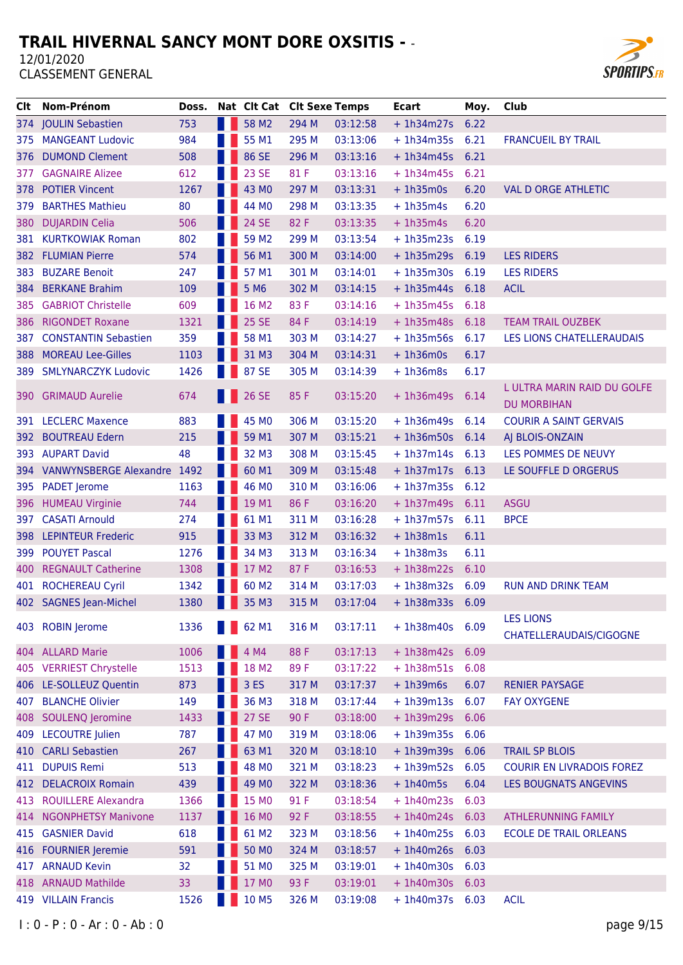

| Clt   | Nom-Prénom                      | Doss. |      | Nat Clt Cat Clt Sexe Temps |       |          | <b>Ecart</b>      | Moy. | Club                                              |
|-------|---------------------------------|-------|------|----------------------------|-------|----------|-------------------|------|---------------------------------------------------|
|       | 374 JOULIN Sebastien            | 753   | a pr | 58 M2                      | 294 M | 03:12:58 | $+ 1h34m27s$      | 6.22 |                                                   |
| 375   | <b>MANGEANT Ludovic</b>         | 984   |      | 55 M1                      | 295 M | 03:13:06 | $+1h34m35s$       | 6.21 | <b>FRANCUEIL BY TRAIL</b>                         |
| 376   | <b>DUMOND Clement</b>           | 508   |      | 86 SE                      | 296 M | 03:13:16 | $+1h34m45s$       | 6.21 |                                                   |
| 377   | <b>GAGNAIRE Alizee</b>          | 612   |      | 23 SE                      | 81 F  | 03:13:16 | $+ 1h34m45s$      | 6.21 |                                                   |
| 378   | <b>POTIER Vincent</b>           | 1267  |      | 43 MO                      | 297 M | 03:13:31 | $+1h35m0s$        | 6.20 | <b>VAL D ORGE ATHLETIC</b>                        |
| 379   | <b>BARTHES Mathieu</b>          | 80    |      | 44 MO                      | 298 M | 03:13:35 | $+1h35m4s$        | 6.20 |                                                   |
| 380   | <b>DUJARDIN Celia</b>           | 506   |      | <b>24 SE</b>               | 82 F  | 03:13:35 | $+ 1h35m4s$       | 6.20 |                                                   |
| 381.  | <b>KURTKOWIAK Roman</b>         | 802   |      | 59 M <sub>2</sub>          | 299 M | 03:13:54 | $+1h35m23s$       | 6.19 |                                                   |
| 382   | <b>FLUMIAN Pierre</b>           | 574   |      | 56 M1                      | 300 M | 03:14:00 | $+1h35m29s$       | 6.19 | <b>LES RIDERS</b>                                 |
| 383   | <b>BUZARE Benoit</b>            | 247   |      | 57 M1                      | 301 M | 03:14:01 | $+ 1h35m30s$      | 6.19 | <b>LES RIDERS</b>                                 |
| 384   | <b>BERKANE Brahim</b>           | 109   |      | 5 M <sub>6</sub>           | 302 M | 03:14:15 | $+1h35m44s$       | 6.18 | <b>ACIL</b>                                       |
| 385   | <b>GABRIOT Christelle</b>       | 609   |      | 16 M2                      | 83 F  | 03:14:16 | $+1h35m45s$       | 6.18 |                                                   |
| 386   | <b>RIGONDET Roxane</b>          | 1321  |      | <b>25 SE</b>               | 84 F  | 03:14:19 | $+ 1h35m48s$      | 6.18 | <b>TEAM TRAIL OUZBEK</b>                          |
| 387.  | <b>CONSTANTIN Sebastien</b>     | 359   |      | 58 M1                      | 303 M | 03:14:27 | $+ 1h35m56s$      | 6.17 | LES LIONS CHATELLERAUDAIS                         |
| 388   | <b>MOREAU Lee-Gilles</b>        | 1103  |      | 31 M3                      | 304 M | 03:14:31 | $+1h36m0s$        | 6.17 |                                                   |
| 389   | <b>SMLYNARCZYK Ludovic</b>      | 1426  |      | 87 SE                      | 305 M | 03:14:39 | $+1h36m8s$        | 6.17 |                                                   |
| 390 l | <b>GRIMAUD Aurelie</b>          | 674   |      | 26 SE                      | 85 F  | 03:15:20 | $+1h36m49s$       | 6.14 | L ULTRA MARIN RAID DU GOLFE<br><b>DU MORBIHAN</b> |
|       | 391 LECLERC Maxence             | 883   |      | 45 MO                      | 306 M | 03:15:20 | $+1h36m49s$       | 6.14 | <b>COURIR A SAINT GERVAIS</b>                     |
| 392 . | <b>BOUTREAU Edern</b>           | 215   |      | 59 M1                      | 307 M | 03:15:21 | $+1h36m50s$       | 6.14 | AJ BLOIS-ONZAIN                                   |
|       | 393 AUPART David                | 48    |      | 32 M3                      | 308 M | 03:15:45 | $+1h37m14s$       | 6.13 | LES POMMES DE NEUVY                               |
|       | 394 VANWYNSBERGE Alexandre 1492 |       |      | 60 M1                      | 309 M | 03:15:48 | $+1h37m17s$       | 6.13 | LE SOUFFLE D ORGERUS                              |
| 395   | <b>PADET</b> Jerome             | 1163  |      | 46 MO                      | 310 M | 03:16:06 | $+ 1h37m35s$      | 6.12 |                                                   |
| 396   | <b>HUMEAU Virginie</b>          | 744   |      | 19 M1                      | 86 F  | 03:16:20 | $+ 1h37m49s 6.11$ |      | <b>ASGU</b>                                       |
| 397   | <b>CASATI Arnould</b>           | 274   |      | 61 M1                      | 311 M | 03:16:28 | $+1h37m57s$       | 6.11 | <b>BPCE</b>                                       |
| 398   | <b>LEPINTEUR Frederic</b>       | 915   |      | 33 M3                      | 312 M | 03:16:32 | $+1h38m1s$        | 6.11 |                                                   |
| 399   | <b>POUYET Pascal</b>            | 1276  |      | 34 M3                      | 313 M | 03:16:34 | $+1h38m3s$        | 6.11 |                                                   |
| 400   | <b>REGNAULT Catherine</b>       | 1308  |      | 17 M2                      | 87 F  | 03:16:53 | $+1h38m22s$       | 6.10 |                                                   |
| 401   | <b>ROCHEREAU Cyril</b>          | 1342  |      | 60 M <sub>2</sub>          | 314 M | 03:17:03 | $+ 1h38m32s$      | 6.09 | <b>RUN AND DRINK TEAM</b>                         |
|       | 402 SAGNES Jean-Michel          | 1380  |      | 35 M3                      | 315 M | 03:17:04 | $+1h38m33s$       | 6.09 |                                                   |
|       | 403 ROBIN Jerome                | 1336  |      | 62 M1                      | 316 M | 03:17:11 | $+ 1h38m40s 6.09$ |      | <b>LES LIONS</b><br>CHATELLERAUDAIS/CIGOGNE       |
|       | 404 ALLARD Marie                | 1006  |      | 4 M4                       | 88 F  | 03:17:13 | $+1h38m42s$       | 6.09 |                                                   |
|       | 405 VERRIEST Chrystelle         | 1513  |      | 18 M2                      | 89F   | 03:17:22 | $+1h38m51s$       | 6.08 |                                                   |
|       | 406 LE-SOLLEUZ Quentin          | 873   |      | 3 ES                       | 317 M | 03:17:37 | $+1h39m6s$        | 6.07 | <b>RENIER PAYSAGE</b>                             |
| 407   | <b>BLANCHE Olivier</b>          | 149   |      | 36 M3                      | 318 M | 03:17:44 | $+1h39m13s$       | 6.07 | <b>FAY OXYGENE</b>                                |
|       | 408 SOULENQ Jeromine            | 1433  |      | <b>27 SE</b>               | 90 F  | 03:18:00 | $+1h39m29s$       | 6.06 |                                                   |
| 409   | <b>LECOUTRE Julien</b>          | 787   |      | 47 MO                      | 319 M | 03:18:06 | $+ 1h39m35s$      | 6.06 |                                                   |
| 410   | <b>CARLI Sebastien</b>          | 267   |      | 63 M1                      | 320 M | 03:18:10 | $+1h39m39s$       | 6.06 | <b>TRAIL SP BLOIS</b>                             |
| 411   | <b>DUPUIS Remi</b>              | 513   |      | 48 MO                      | 321 M | 03:18:23 | $+1h39m52s$       | 6.05 | <b>COURIR EN LIVRADOIS FOREZ</b>                  |
| 412   | <b>DELACROIX Romain</b>         | 439   |      | 49 MO                      | 322 M | 03:18:36 | $+1h40m5s$        | 6.04 | LES BOUGNATS ANGEVINS                             |
|       | 413 ROUILLERE Alexandra         | 1366  |      | 15 MO                      | 91 F  | 03:18:54 | $+1h40m23s$       | 6.03 |                                                   |
| 414   | <b>NGONPHETSY Manivone</b>      | 1137  |      | 16 MO                      | 92 F  | 03:18:55 | $+1h40m24s$       | 6.03 | <b>ATHLERUNNING FAMILY</b>                        |
| 415   | <b>GASNIER David</b>            | 618   |      | 61 M2                      | 323 M | 03:18:56 | $+1h40m25s$       | 6.03 | <b>ECOLE DE TRAIL ORLEANS</b>                     |
| 416   | <b>FOURNIER Jeremie</b>         | 591   |      | 50 MO                      | 324 M | 03:18:57 | $+1h40m26s$       | 6.03 |                                                   |
| 417   | <b>ARNAUD Kevin</b>             | 32    |      | 51 MO                      | 325 M | 03:19:01 | $+1h40m30s$       | 6.03 |                                                   |
|       | 418 ARNAUD Mathilde             | 33    |      | 17 MO                      | 93 F  | 03:19:01 | $+1h40m30s$       | 6.03 |                                                   |
|       | 419 VILLAIN Francis             | 1526  |      | 10 M5                      | 326 M | 03:19:08 | + 1h40m37s 6.03   |      | <b>ACIL</b>                                       |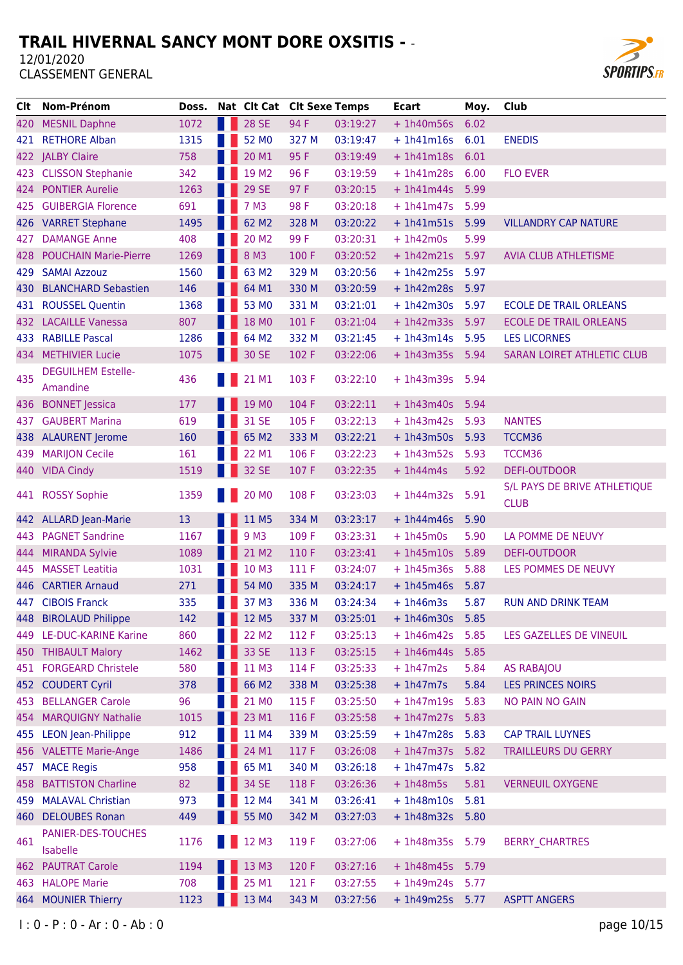

| Clt | Nom-Prénom                   | Doss. | Nat Clt Cat Clt Sexe Temps |       |          | <b>Ecart</b>    | Moy. | Club                              |
|-----|------------------------------|-------|----------------------------|-------|----------|-----------------|------|-----------------------------------|
|     | 420 MESNIL Daphne            | 1072  | <b>28 SE</b>               | 94 F  | 03:19:27 | $+1h40m56s$     | 6.02 |                                   |
|     | 421 RETHORE Alban            | 1315  | 52 MO                      | 327 M | 03:19:47 | $+1h41m16s$     | 6.01 | <b>ENEDIS</b>                     |
|     | 422 JALBY Claire             | 758   | 20 M1                      | 95 F  | 03:19:49 | $+1h41m18s$     | 6.01 |                                   |
| 423 | <b>CLISSON Stephanie</b>     | 342   | 19 M <sub>2</sub>          | 96 F  | 03:19:59 | $+1h41m28s$     | 6.00 | <b>FLO EVER</b>                   |
| 424 | <b>PONTIER Aurelie</b>       | 1263  | 29 SE                      | 97 F  | 03:20:15 | $+ 1h41m44s$    | 5.99 |                                   |
| 425 | <b>GUIBERGIA Florence</b>    | 691   | 7 M3                       | 98 F  | 03:20:18 | $+1h41m47s$     | 5.99 |                                   |
|     | 426 VARRET Stephane          | 1495  | 62 M2                      | 328 M | 03:20:22 | $+1h41m51s$     | 5.99 | <b>VILLANDRY CAP NATURE</b>       |
| 427 | <b>DAMANGE Anne</b>          | 408   | 20 M <sub>2</sub>          | 99F   | 03:20:31 | $+1h42m0s$      | 5.99 |                                   |
| 428 | <b>POUCHAIN Marie-Pierre</b> | 1269  | 8 M3                       | 100 F | 03:20:52 | $+1h42m21s$     | 5.97 | <b>AVIA CLUB ATHLETISME</b>       |
| 429 | <b>SAMAI Azzouz</b>          | 1560  | 63 M2                      | 329 M | 03:20:56 | $+1h42m25s$     | 5.97 |                                   |
| 430 | <b>BLANCHARD Sebastien</b>   | 146   | 64 M1                      | 330 M | 03:20:59 | $+1h42m28s$     | 5.97 |                                   |
| 431 | <b>ROUSSEL Quentin</b>       | 1368  | 53 MO                      | 331 M | 03:21:01 | $+1h42m30s$     | 5.97 | <b>ECOLE DE TRAIL ORLEANS</b>     |
| 432 | <b>LACAILLE Vanessa</b>      | 807   | 18 MO                      | 101 F | 03:21:04 | $+1h42m33s$     | 5.97 | <b>ECOLE DE TRAIL ORLEANS</b>     |
|     | 433 RABILLE Pascal           | 1286  | 64 M2                      | 332 M | 03:21:45 | $+ 1h43m14s$    | 5.95 | <b>LES LICORNES</b>               |
| 434 | <b>METHIVIER Lucie</b>       | 1075  | 30 SE                      | 102 F | 03:22:06 | $+1h43m35s$     | 5.94 | <b>SARAN LOIRET ATHLETIC CLUB</b> |
|     | <b>DEGUILHEM Estelle-</b>    |       |                            |       |          |                 |      |                                   |
| 435 | Amandine                     | 436   | 21 M1                      | 103 F | 03:22:10 | $+1h43m39s$     | 5.94 |                                   |
| 436 | <b>BONNET Jessica</b>        | 177   | 19 MO                      | 104 F | 03:22:11 | $+1h43m40s$     | 5.94 |                                   |
| 437 | <b>GAUBERT Marina</b>        | 619   | 31 SE                      | 105 F | 03:22:13 | $+1h43m42s$     | 5.93 | <b>NANTES</b>                     |
|     | 438 ALAURENT Jerome          | 160   | 65 M2                      | 333 M | 03:22:21 | $+ 1h43m50s$    | 5.93 | TCCM36                            |
| 439 | <b>MARIJON Cecile</b>        | 161   | 22 M1                      | 106 F | 03:22:23 | $+1h43m52s$     | 5.93 | TCCM36                            |
| 440 | <b>VIDA Cindy</b>            | 1519  | 32 SE                      | 107 F | 03:22:35 | $+1h44m4s$      | 5.92 | <b>DEFI-OUTDOOR</b>               |
|     |                              |       |                            |       |          |                 |      | S/L PAYS DE BRIVE ATHLETIQUE      |
|     | 441 ROSSY Sophie             | 1359  | 20 MO                      | 108 F | 03:23:03 | $+1h44m32s$     | 5.91 | <b>CLUB</b>                       |
|     | 442 ALLARD Jean-Marie        | 13    | 11 M5                      | 334 M | 03:23:17 | $+1h44m46s$     | 5.90 |                                   |
| 443 | <b>PAGNET Sandrine</b>       | 1167  | 9 M3                       | 109 F | 03:23:31 | $+1h45m0s$      | 5.90 | LA POMME DE NEUVY                 |
| 444 | <b>MIRANDA Sylvie</b>        | 1089  | 21 M2                      | 110 F | 03:23:41 | $+1h45m10s$     | 5.89 | <b>DEFI-OUTDOOR</b>               |
| 445 | <b>MASSET Leatitia</b>       | 1031  | 10 M3                      | 111 F | 03:24:07 | $+1h45m36s$     | 5.88 | LES POMMES DE NEUVY               |
| 446 | <b>CARTIER Arnaud</b>        | 271   | 54 MO                      | 335 M | 03:24:17 | $+1h45m46s$     | 5.87 |                                   |
|     | 447 CIBOIS Franck            | 335   | 37 M3                      | 336 M | 03:24:34 | $+1h46m3s$      | 5.87 | <b>RUN AND DRINK TEAM</b>         |
|     | 448 BIROLAUD Philippe        | 142   | <b>12 M5</b>               | 337 M | 03:25:01 | $+1h46m30s$     | 5.85 |                                   |
|     | 449 LE-DUC-KARINE Karine     | 860   | 22 M2                      | 112 F | 03:25:13 | $+1h46m42s$     | 5.85 | LES GAZELLES DE VINEUIL           |
|     | 450 THIBAULT Malory          | 1462  | 33 SE                      | 113 F | 03:25:15 | $+1h46m44s$     | 5.85 |                                   |
|     | 451 FORGEARD Christele       | 580   | 11 M3                      | 114 F | 03:25:33 | $+1h47m2s$      | 5.84 | <b>AS RABAJOU</b>                 |
| 452 | <b>COUDERT Cyril</b>         | 378   | 66 M2                      | 338 M | 03:25:38 | $+1h47m7s$      | 5.84 | <b>LES PRINCES NOIRS</b>          |
| 453 | <b>BELLANGER Carole</b>      | 96    | 21 MO                      | 115 F | 03:25:50 | $+1h47m19s$     | 5.83 | <b>NO PAIN NO GAIN</b>            |
| 454 | <b>MARQUIGNY Nathalie</b>    | 1015  | 23 M1                      | 116 F | 03:25:58 | $+ 1h47m27s$    | 5.83 |                                   |
|     | 455 LEON Jean-Philippe       | 912   | 11 M4                      | 339 M | 03:25:59 | $+ 1h47m28s$    | 5.83 | <b>CAP TRAIL LUYNES</b>           |
|     | 456 VALETTE Marie-Ange       | 1486  | 24 M1                      | 117 F | 03:26:08 | $+ 1h47m37s$    | 5.82 | <b>TRAILLEURS DU GERRY</b>        |
| 457 | <b>MACE Regis</b>            | 958   | 65 M1                      | 340 M | 03:26:18 | $+1h47m47s$     | 5.82 |                                   |
| 458 | <b>BATTISTON Charline</b>    | 82    | 34 SE                      | 118 F | 03:26:36 | $+1h48m5s$      | 5.81 | <b>VERNEUIL OXYGENE</b>           |
| 459 | <b>MALAVAL Christian</b>     | 973   | 12 M4                      | 341 M | 03:26:41 | $+1h48m10s$     | 5.81 |                                   |
| 460 | <b>DELOUBES Ronan</b>        | 449   | 55 MO                      | 342 M | 03:27:03 | $+1h48m32s$     | 5.80 |                                   |
|     | PANIER-DES-TOUCHES           |       |                            |       |          |                 |      |                                   |
| 461 | Isabelle                     | 1176  | 12 M3                      | 119 F | 03:27:06 | $+1h48m35s$     | 5.79 | <b>BERRY_CHARTRES</b>             |
| 462 | <b>PAUTRAT Carole</b>        | 1194  | 13 M3                      | 120 F | 03:27:16 | $+1h48m45s$     | 5.79 |                                   |
| 463 | <b>HALOPE Marie</b>          | 708   | 25 M1                      | 121 F | 03:27:55 | $+1h49m24s$     | 5.77 |                                   |
| 464 | <b>MOUNIER Thierry</b>       | 1123  | 13 M4                      | 343 M | 03:27:56 | + 1h49m25s 5.77 |      | <b>ASPTT ANGERS</b>               |
|     |                              |       |                            |       |          |                 |      |                                   |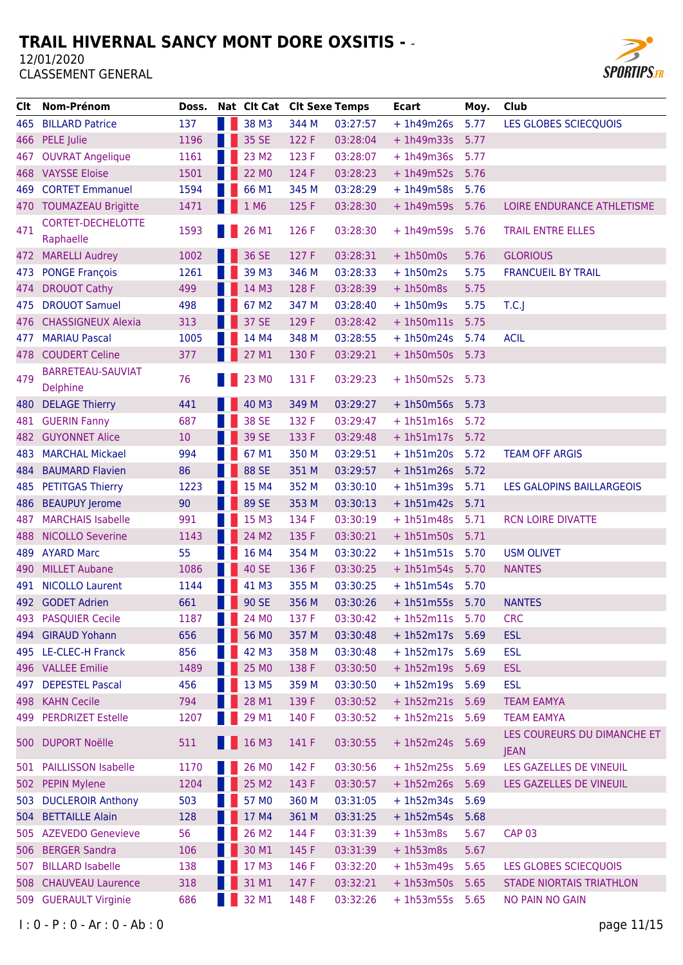

| Clt   | <b>Nom-Prénom</b>                     | Doss. |                          | Nat Clt Cat Clt Sexe Temps |       |          | <b>Ecart</b>    | Moy. | Club                                       |
|-------|---------------------------------------|-------|--------------------------|----------------------------|-------|----------|-----------------|------|--------------------------------------------|
| 465   | <b>BILLARD Patrice</b>                | 137   |                          | 38 M3                      | 344 M | 03:27:57 | $+1h49m26s$     | 5.77 | LES GLOBES SCIECQUOIS                      |
| 466   | PELE Julie                            | 1196  |                          | 35 SE                      | 122 F | 03:28:04 | $+1h49m33s$     | 5.77 |                                            |
| 467   | <b>OUVRAT Angelique</b>               | 1161  |                          | 23 M2                      | 123 F | 03:28:07 | $+1h49m36s$     | 5.77 |                                            |
| 468   | <b>VAYSSE Eloise</b>                  | 1501  |                          | 22 MO                      | 124 F | 03:28:23 | $+1h49m52s$     | 5.76 |                                            |
| 469   | <b>CORTET Emmanuel</b>                | 1594  |                          | 66 M1                      | 345 M | 03:28:29 | $+1h49m58s$     | 5.76 |                                            |
|       | 470 TOUMAZEAU Brigitte                | 1471  |                          | 1 M6                       | 125 F | 03:28:30 | $+1h49m59s$     | 5.76 | LOIRE ENDURANCE ATHLETISME                 |
| 471   | <b>CORTET-DECHELOTTE</b><br>Raphaelle | 1593  |                          | 26 M1                      | 126 F | 03:28:30 | $+1h49m59s$     | 5.76 | <b>TRAIL ENTRE ELLES</b>                   |
| 472   | <b>MARELLI Audrey</b>                 | 1002  |                          | 36 SE                      | 127 F | 03:28:31 | $+1h50m0s$      | 5.76 | <b>GLORIOUS</b>                            |
| 473   | <b>PONGE François</b>                 | 1261  |                          | 39 M3                      | 346 M | 03:28:33 | $+1h50m2s$      | 5.75 | <b>FRANCUEIL BY TRAIL</b>                  |
| 474   | <b>DROUOT Cathy</b>                   | 499   |                          | 14 M3                      | 128 F | 03:28:39 | $+1h50m8s$      | 5.75 |                                            |
| 475   | <b>DROUOT Samuel</b>                  | 498   |                          | 67 M2                      | 347 M | 03:28:40 | $+1h50m9s$      | 5.75 | T.C.                                       |
| 476   | <b>CHASSIGNEUX Alexia</b>             | 313   |                          | 37 SE                      | 129 F | 03:28:42 | $+1h50m11s$     | 5.75 |                                            |
| 477   | <b>MARIAU Pascal</b>                  | 1005  |                          | 14 M4                      | 348 M | 03:28:55 | $+ 1h50m24s$    | 5.74 | <b>ACIL</b>                                |
| 478   | <b>COUDERT Celine</b>                 | 377   |                          | 27 M1                      | 130 F | 03:29:21 | $+1h50m50s$     | 5.73 |                                            |
| 479   | BARRETEAU-SAUVIAT<br><b>Delphine</b>  | 76    |                          | 23 MO                      | 131 F | 03:29:23 | $+1h50m52s$     | 5.73 |                                            |
| 480   | <b>DELAGE Thierry</b>                 | 441   |                          | 40 M3                      | 349 M | 03:29:27 | $+ 1h50m56s$    | 5.73 |                                            |
| 481   | <b>GUERIN Fanny</b>                   | 687   |                          | 38 SE                      | 132 F | 03:29:47 | $+1h51m16s$     | 5.72 |                                            |
| 482   | <b>GUYONNET Alice</b>                 | 10    |                          | 39 SE                      | 133 F | 03:29:48 | $+1h51m17s$     | 5.72 |                                            |
| 483   | <b>MARCHAL Mickael</b>                | 994   |                          | 67 M1                      | 350 M | 03:29:51 | $+ 1h51m20s$    | 5.72 | <b>TEAM OFF ARGIS</b>                      |
| 484   | <b>BAUMARD Flavien</b>                | 86    |                          | 88 SE                      | 351 M | 03:29:57 | $+1h51m26s$     | 5.72 |                                            |
| 485   | <b>PETITGAS Thierry</b>               | 1223  |                          | 15 M4                      | 352 M | 03:30:10 | $+1h51m39s$     | 5.71 | LES GALOPINS BAILLARGEOIS                  |
| 486   | <b>BEAUPUY Jerome</b>                 | 90    |                          | 89 SE                      | 353 M | 03:30:13 | $+ 1h51m42s$    | 5.71 |                                            |
| 487   | <b>MARCHAIS Isabelle</b>              | 991   |                          | 15 M3                      | 134 F | 03:30:19 | $+1h51m48s$     | 5.71 | <b>RCN LOIRE DIVATTE</b>                   |
| 488   | <b>NICOLLO Severine</b>               | 1143  |                          | 24 M2                      | 135 F | 03:30:21 | $+ 1h51m50s$    | 5.71 |                                            |
| 489   | <b>AYARD Marc</b>                     | 55    |                          | 16 M4                      | 354 M | 03:30:22 | $+1h51m51s$     | 5.70 | <b>USM OLIVET</b>                          |
| 490   | <b>MILLET Aubane</b>                  | 1086  |                          | <b>40 SE</b>               | 136 F | 03:30:25 | $+ 1h51m54s$    | 5.70 | <b>NANTES</b>                              |
| 491   | <b>NICOLLO Laurent</b>                | 1144  |                          | 41 M3                      | 355 M | 03:30:25 | $+ 1h51m54s$    | 5.70 |                                            |
|       | 492 GODET Adrien                      | 661   |                          | 90 SE                      | 356 M | 03:30:26 | $+1h51m55s$     | 5.70 | <b>NANTES</b>                              |
|       | 493 PASQUIER Cecile                   | 1187  | <b>Contract Contract</b> | 24 M <sub>0</sub>          | 137 F | 03:30:42 | + 1h52m11s 5.70 |      | <b>CRC</b>                                 |
|       | 494 GIRAUD Yohann                     | 656   |                          | 56 MO                      | 357 M | 03:30:48 | $+1h52m17s$     | 5.69 | <b>ESL</b>                                 |
|       | 495 LE-CLEC-H Franck                  | 856   |                          | 42 M3                      | 358 M | 03:30:48 | $+1h52m17s$     | 5.69 | <b>ESL</b>                                 |
|       | 496 VALLEE Emilie                     | 1489  |                          | 25 MO                      | 138 F | 03:30:50 | $+1h52m19s$     | 5.69 | <b>ESL</b>                                 |
| 497   | <b>DEPESTEL Pascal</b>                | 456   |                          | 13 M5                      | 359 M | 03:30:50 | $+1h52m19s$     | 5.69 | <b>ESL</b>                                 |
|       | 498 KAHN Cecile                       | 794   |                          | 28 M1                      | 139 F | 03:30:52 | $+1h52m21s$     | 5.69 | <b>TEAM EAMYA</b>                          |
|       | 499 PERDRIZET Estelle                 | 1207  |                          | 29 M1                      | 140 F | 03:30:52 | $+1h52m21s$     | 5.69 | <b>TEAM EAMYA</b>                          |
| 500 l | <b>DUPORT Noëlle</b>                  | 511   |                          | 16 M3                      | 141 F | 03:30:55 | $+1h52m24s$     | 5.69 | LES COUREURS DU DIMANCHE ET<br><b>JEAN</b> |
| 501   | <b>PAILLISSON Isabelle</b>            | 1170  |                          | 26 MO                      | 142 F | 03:30:56 | $+1h52m25s$     | 5.69 | LES GAZELLES DE VINEUIL                    |
|       | 502 PEPIN Mylene                      | 1204  |                          | 25 M2                      | 143 F | 03:30:57 | $+1h52m26s$     | 5.69 | LES GAZELLES DE VINEUIL                    |
| 503   | <b>DUCLEROIR Anthony</b>              | 503   |                          | 57 MO                      | 360 M | 03:31:05 | $+1h52m34s$     | 5.69 |                                            |
|       | 504 BETTAILLE Alain                   | 128   |                          | 17 M4                      | 361 M | 03:31:25 | $+1h52m54s$     | 5.68 |                                            |
|       | 505 AZEVEDO Genevieve                 | 56    |                          | 26 M2                      | 144 F | 03:31:39 | $+1h53m8s$      | 5.67 | <b>CAP 03</b>                              |
| 506   | <b>BERGER Sandra</b>                  | 106   |                          | 30 M1                      | 145 F | 03:31:39 | $+1h53m8s$      | 5.67 |                                            |
| 507   | <b>BILLARD Isabelle</b>               | 138   |                          | 17 M3                      | 146 F | 03:32:20 | $+1h53m49s$     | 5.65 | LES GLOBES SCIECQUOIS                      |
| 508   | <b>CHAUVEAU Laurence</b>              | 318   |                          | 31 M1                      | 147 F | 03:32:21 | $+1h53m50s$     | 5.65 | <b>STADE NIORTAIS TRIATHLON</b>            |
|       | 509 GUERAULT Virginie                 | 686   |                          | 32 M1                      | 148 F | 03:32:26 | $+1h53m55s$     | 5.65 | NO PAIN NO GAIN                            |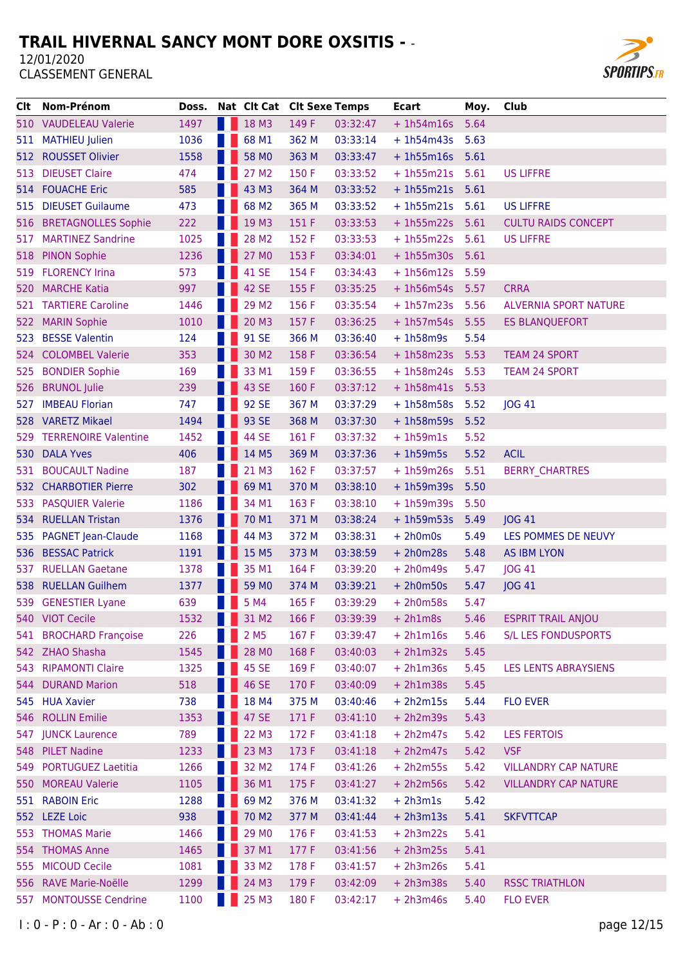

| CIt. | Nom-Prénom                  | Doss. |          | Nat Clt Cat Clt Sexe Temps |       |          | <b>Ecart</b>      | Moy. | Club                         |
|------|-----------------------------|-------|----------|----------------------------|-------|----------|-------------------|------|------------------------------|
|      | 510 VAUDELEAU Valerie       | 1497  |          | 18 M3                      | 149 F | 03:32:47 | $+1h54m16s$       | 5.64 |                              |
| 511  | <b>MATHIEU Julien</b>       | 1036  |          | 68 M1                      | 362 M | 03:33:14 | $+1h54m43s$       | 5.63 |                              |
| 512. | <b>ROUSSET Olivier</b>      | 1558  |          | 58 MO                      | 363 M | 03:33:47 | $+1h55m16s$       | 5.61 |                              |
| 513  | <b>DIEUSET Claire</b>       | 474   |          | 27 M <sub>2</sub>          | 150 F | 03:33:52 | $+ 1h55m21s$      | 5.61 | <b>US LIFFRE</b>             |
|      | 514 FOUACHE Eric            | 585   |          | 43 M3                      | 364 M | 03:33:52 | $+ 1h55m21s 5.61$ |      |                              |
| 515  | <b>DIEUSET Guilaume</b>     | 473   |          | 68 M2                      | 365 M | 03:33:52 | $+1h55m21s$       | 5.61 | <b>US LIFFRE</b>             |
| 516  | <b>BRETAGNOLLES Sophie</b>  | 222   |          | 19 M3                      | 151 F | 03:33:53 | $+1h55m22s$       | 5.61 | <b>CULTU RAIDS CONCEPT</b>   |
| 517  | <b>MARTINEZ Sandrine</b>    | 1025  |          | 28 M2                      | 152 F | 03:33:53 | $+1h55m22s$       | 5.61 | <b>US LIFFRE</b>             |
| 518  | <b>PINON Sophie</b>         | 1236  |          | 27 MO                      | 153 F | 03:34:01 | $+1h55m30s$       | 5.61 |                              |
|      | 519 FLORENCY Irina          | 573   |          | 41 SE                      | 154 F | 03:34:43 | $+1h56m12s$       | 5.59 |                              |
| 520  | <b>MARCHE Katia</b>         | 997   |          | 42 SE                      | 155 F | 03:35:25 | $+1h56m54s$       | 5.57 | <b>CRRA</b>                  |
| 521  | <b>TARTIERE Caroline</b>    | 1446  |          | 29 M <sub>2</sub>          | 156 F | 03:35:54 | $+1h57m23s$       | 5.56 | <b>ALVERNIA SPORT NATURE</b> |
| 522  | <b>MARIN Sophie</b>         | 1010  |          | 20 M3                      | 157 F | 03:36:25 | $+1h57m54s$       | 5.55 | <b>ES BLANQUEFORT</b>        |
|      | 523 BESSE Valentin          | 124   |          | 91 SE                      | 366 M | 03:36:40 | $+1h58m9s$        | 5.54 |                              |
|      | 524 COLOMBEL Valerie        | 353   |          | 30 M <sub>2</sub>          | 158 F | 03:36:54 | $+1h58m23s$       | 5.53 | <b>TEAM 24 SPORT</b>         |
| 525  | <b>BONDIER Sophie</b>       | 169   |          | 33 M1                      | 159 F | 03:36:55 | $+1h58m24s$       | 5.53 | <b>TEAM 24 SPORT</b>         |
| 526  | <b>BRUNOL Julie</b>         | 239   |          | 43 SE                      | 160 F | 03:37:12 | $+1h58m41s$       | 5.53 |                              |
| 527  | <b>IMBEAU Florian</b>       | 747   |          | 92 SE                      | 367 M | 03:37:29 | $+1h58m58s$       | 5.52 | LOG 41                       |
|      | 528 VARETZ Mikael           | 1494  |          | 93 SE                      | 368 M | 03:37:30 | $+1h58m59s$       | 5.52 |                              |
| 529  | <b>TERRENOIRE Valentine</b> | 1452  |          | 44 SE                      | 161 F | 03:37:32 | $+1h59m1s$        | 5.52 |                              |
| 530  | <b>DALA Yves</b>            | 406   |          | 14 M5                      | 369 M | 03:37:36 | $+1h59m5s$        | 5.52 | <b>ACIL</b>                  |
| 531  | <b>BOUCAULT Nadine</b>      | 187   |          | 21 M3                      | 162 F | 03:37:57 | $+1h59m26s$       | 5.51 | <b>BERRY CHARTRES</b>        |
| 532  | <b>CHARBOTIER Pierre</b>    | 302   |          | 69 M1                      | 370 M | 03:38:10 | $+1h59m39s$       | 5.50 |                              |
| 533  | <b>PASQUIER Valerie</b>     | 1186  |          | 34 M1                      | 163 F | 03:38:10 | $+1h59m39s$       | 5.50 |                              |
| 534  | <b>RUELLAN Tristan</b>      | 1376  |          | 70 M1                      | 371 M | 03:38:24 | $+1h59m53s$       | 5.49 | JOG 41                       |
| 535  | <b>PAGNET Jean-Claude</b>   | 1168  |          | 44 M3                      | 372 M | 03:38:31 | $+ 2h0m0s$        | 5.49 | LES POMMES DE NEUVY          |
| 536  | <b>BESSAC Patrick</b>       | 1191  |          | 15 M5                      | 373 M | 03:38:59 | $+ 2h0m28s$       | 5.48 | <b>AS IBM LYON</b>           |
| 537  | <b>RUELLAN Gaetane</b>      | 1378  |          | 35 M1                      | 164 F | 03:39:20 | $+ 2h0m49s$       | 5.47 | JOG 41                       |
|      | 538 RUELLAN Guilhem         | 1377  |          | 59 MO                      | 374 M | 03:39:21 | $+ 2h0m50s$       | 5.47 | JOG 41                       |
|      | 539 GENESTIER Lyane         | 639   | a katika | 5 M4                       | 165 F | 03:39:29 | $+ 2h0m58s$       | 5.47 |                              |
|      | 540 VIOT Cecile             | 1532  | . .      | 31 M2                      | 166 F | 03:39:39 | $+ 2h1m8s$        | 5.46 | <b>ESPRIT TRAIL ANJOU</b>    |
|      | 541 BROCHARD Françoise      | 226   |          | 2 M <sub>5</sub>           | 167 F | 03:39:47 | $+ 2h1m16s$       | 5.46 | <b>S/L LES FONDUSPORTS</b>   |
|      | 542 ZHAO Shasha             | 1545  |          | 28 MO                      | 168 F | 03:40:03 | $+ 2h1m32s$       | 5.45 |                              |
|      | 543 RIPAMONTI Claire        | 1325  |          | 45 SE                      | 169 F | 03:40:07 | $+ 2h1m36s$       | 5.45 | <b>LES LENTS ABRAYSIENS</b>  |
|      | 544 DURAND Marion           | 518   |          | 46 SE                      | 170 F | 03:40:09 | $+ 2h1m38s$       | 5.45 |                              |
|      | 545 HUA Xavier              | 738   |          | 18 M4                      | 375 M | 03:40:46 | $+ 2h2m15s$       | 5.44 | <b>FLO EVER</b>              |
|      | 546 ROLLIN Emilie           | 1353  |          | 47 SE                      | 171 F | 03:41:10 | $+ 2h2m39s$       | 5.43 |                              |
|      | 547 JUNCK Laurence          | 789   |          | 22 M3                      | 172 F | 03:41:18 | $+ 2h2m47s$       | 5.42 | <b>LES FERTOIS</b>           |
|      | 548 PILET Nadine            | 1233  |          | 23 M3                      | 173 F | 03:41:18 | $+ 2h2m47s$       | 5.42 | <b>VSF</b>                   |
|      | 549 PORTUGUEZ Laetitia      | 1266  |          | 32 M2                      | 174 F | 03:41:26 | $+ 2h2m55s$       | 5.42 | <b>VILLANDRY CAP NATURE</b>  |
|      | 550 MOREAU Valerie          | 1105  |          | 36 M1                      | 175 F | 03:41:27 | $+ 2h2m56s$       | 5.42 | <b>VILLANDRY CAP NATURE</b>  |
|      | 551 RABOIN Eric             | 1288  |          | 69 M2                      | 376 M | 03:41:32 | $+ 2h3m1s$        | 5.42 |                              |
|      | 552 LEZE Loic               | 938   |          | 70 M2                      | 377 M | 03:41:44 | $+ 2h3m13s$       | 5.41 | <b>SKFVTTCAP</b>             |
|      | 553 THOMAS Marie            | 1466  |          | 29 MO                      | 176 F | 03:41:53 | $+ 2h3m22s$       | 5.41 |                              |
|      | 554 THOMAS Anne             | 1465  |          | 37 M1                      | 177 F | 03:41:56 | $+ 2h3m25s$       | 5.41 |                              |
|      | 555 MICOUD Cecile           | 1081  |          | 33 M2                      | 178 F | 03:41:57 | $+ 2h3m26s$       | 5.41 |                              |
|      | 556 RAVE Marie-Noëlle       | 1299  |          | 24 M3                      | 179 F | 03:42:09 | $+ 2h3m38s$       | 5.40 | <b>RSSC TRIATHLON</b>        |
|      | 557 MONTOUSSE Cendrine      | 1100  |          | 25 M3                      | 180 F | 03:42:17 | $+ 2h3m46s$       | 5.40 | <b>FLO EVER</b>              |
|      |                             |       |          |                            |       |          |                   |      |                              |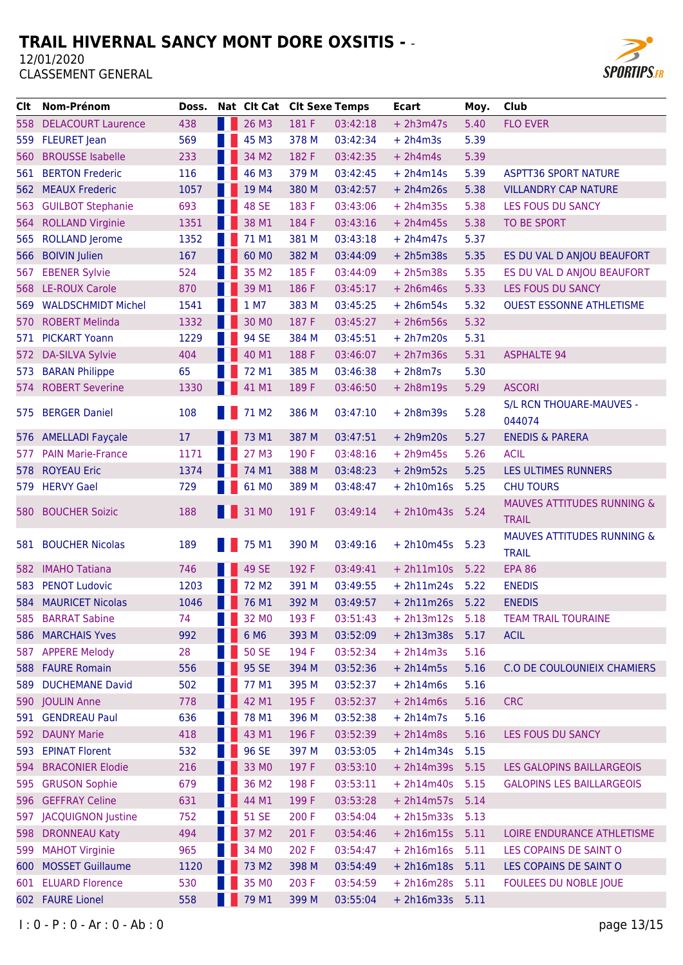

| CIt   | Nom-Prénom                | Doss. | Nat Clt Cat Clt Sexe Temps |       |          | <b>Ecart</b>      | Moy. | Club                                  |
|-------|---------------------------|-------|----------------------------|-------|----------|-------------------|------|---------------------------------------|
| 558   | <b>DELACOURT Laurence</b> | 438   | 26 M3                      | 181 F | 03:42:18 | $+ 2h3m47s$       | 5.40 | <b>FLO EVER</b>                       |
| 559   | <b>FLEURET</b> Jean       | 569   | 45 M3                      | 378 M | 03:42:34 | $+ 2h4m3s$        | 5.39 |                                       |
| 560   | <b>BROUSSE Isabelle</b>   | 233   | 34 M2                      | 182 F | 03:42:35 | $+ 2h4m4s$        | 5.39 |                                       |
| 561   | <b>BERTON Frederic</b>    | 116   | 46 M3                      | 379 M | 03:42:45 | $+ 2h4m14s$       | 5.39 | <b>ASPTT36 SPORT NATURE</b>           |
| 562   | <b>MEAUX Frederic</b>     | 1057  | 19 M4                      | 380 M | 03:42:57 | $+ 2h4m26s$       | 5.38 | <b>VILLANDRY CAP NATURE</b>           |
| 563   | <b>GUILBOT Stephanie</b>  | 693   | <b>48 SE</b>               | 183 F | 03:43:06 | $+ 2h4m35s$       | 5.38 | LES FOUS DU SANCY                     |
| 564   | <b>ROLLAND Virginie</b>   | 1351  | 38 M1                      | 184 F | 03:43:16 | $+ 2h4m45s$       | 5.38 | TO BE SPORT                           |
| 565   | <b>ROLLAND Jerome</b>     | 1352  | 71 M1                      | 381 M | 03:43:18 | $+ 2h4m47s$       | 5.37 |                                       |
| 566   | <b>BOIVIN Julien</b>      | 167   | 60 MO                      | 382 M | 03:44:09 | $+ 2h5m38s$       | 5.35 | ES DU VAL D ANJOU BEAUFORT            |
| 567   | <b>EBENER Sylvie</b>      | 524   | 35 M2                      | 185 F | 03:44:09 | $+ 2h5m38s$       | 5.35 | ES DU VAL D ANJOU BEAUFORT            |
|       | 568 LE-ROUX Carole        | 870   | 39 M1                      | 186 F | 03:45:17 | $+ 2h6m46s$       | 5.33 | LES FOUS DU SANCY                     |
| 569   | <b>WALDSCHMIDT Michel</b> | 1541  | 1 M7                       | 383 M | 03:45:25 | $+ 2h6m54s$       | 5.32 | <b>OUEST ESSONNE ATHLETISME</b>       |
| 570.  | <b>ROBERT Melinda</b>     | 1332  | 30 MO                      | 187 F | 03:45:27 | $+ 2h6m56s$       | 5.32 |                                       |
| 571.  | <b>PICKART Yoann</b>      | 1229  | 94 SE                      | 384 M | 03:45:51 | $+ 2h7m20s$       | 5.31 |                                       |
| 572   | <b>DA-SILVA Sylvie</b>    | 404   | 40 M1                      | 188 F | 03:46:07 | $+ 2h7m36s$       | 5.31 | <b>ASPHALTE 94</b>                    |
| 573   | <b>BARAN Philippe</b>     | 65    | 72 M1                      | 385 M | 03:46:38 | $+ 2h8m7s$        | 5.30 |                                       |
| 574 - | <b>ROBERT Severine</b>    | 1330  | 41 M1                      | 189 F | 03:46:50 | $+ 2h8m19s$       | 5.29 | <b>ASCORI</b>                         |
|       |                           |       |                            |       |          |                   |      | S/L RCN THOUARE-MAUVES -              |
|       | 575 BERGER Daniel         | 108   | 71 M <sub>2</sub>          | 386 M | 03:47:10 | $+ 2h8m39s$       | 5.28 | 044074                                |
|       | 576 AMELLADI Fayçale      | 17    | 73 M1                      | 387 M | 03:47:51 | $+ 2h9m20s$       | 5.27 | <b>ENEDIS &amp; PARERA</b>            |
| 577.  | <b>PAIN Marie-France</b>  | 1171  | 27 M3                      | 190 F | 03:48:16 | $+ 2h9m45s$       | 5.26 | <b>ACIL</b>                           |
| 578   | <b>ROYEAU Eric</b>        | 1374  | 74 M1                      | 388 M | 03:48:23 | $+ 2h9m52s$       | 5.25 | LES ULTIMES RUNNERS                   |
|       | 579 HERVY Gael            | 729   | 61 MO                      | 389 M | 03:48:47 | $+ 2h10m16s$      | 5.25 | <b>CHU TOURS</b>                      |
|       |                           |       |                            |       |          |                   |      | <b>MAUVES ATTITUDES RUNNING &amp;</b> |
| 580   | <b>BOUCHER Soizic</b>     | 188   | 31 MO                      | 191 F | 03:49:14 | $+ 2h10m43s$      | 5.24 | <b>TRAIL</b>                          |
|       |                           |       |                            |       |          |                   |      | <b>MAUVES ATTITUDES RUNNING &amp;</b> |
| 581 - | <b>BOUCHER Nicolas</b>    | 189   | 75 M1                      | 390 M | 03:49:16 | $+ 2h10m45s$      | 5.23 | <b>TRAIL</b>                          |
| 582.  | <b>IMAHO Tatiana</b>      | 746   | 49 SE                      | 192 F | 03:49:41 | $+ 2h11m10s$      | 5.22 | <b>EPA 86</b>                         |
| 583   | <b>PENOT Ludovic</b>      | 1203  | 72 M <sub>2</sub>          | 391 M | 03:49:55 | $+ 2h11m24s$      | 5.22 | <b>ENEDIS</b>                         |
|       | 584 MAURICET Nicolas      | 1046  | 76 M1                      | 392 M | 03:49:57 | $+ 2h11m26s$ 5.22 |      | <b>ENEDIS</b>                         |
| 585   | <b>BARRAT Sabine</b>      | 74    | 32 MO                      | 193 F | 03:51:43 | $+ 2h13m12s$      | 5.18 | <b>TEAM TRAIL TOURAINE</b>            |
|       | 586 MARCHAIS Yves         | 992   | 6 M6                       | 393 M | 03:52:09 | $+ 2h13m38s$      | 5.17 | <b>ACIL</b>                           |
|       | 587 APPERE Melody         | 28    | <b>50 SE</b>               | 194 F | 03:52:34 | $+ 2h14m3s$       | 5.16 |                                       |
|       | 588 FAURE Romain          | 556   | 95 SE                      | 394 M | 03:52:36 | $+ 2h14m5s$       | 5.16 | C.O DE COULOUNIEIX CHAMIERS           |
| 589 - | <b>DUCHEMANE David</b>    | 502   | 77 M1                      | 395 M | 03:52:37 | $+ 2h14m6s$       | 5.16 |                                       |
|       | 590 JOULIN Anne           | 778   | 42 M1                      | 195 F | 03:52:37 | $+ 2h14m6s$       | 5.16 | <b>CRC</b>                            |
|       | 591 GENDREAU Paul         | 636   | 78 M1                      | 396 M | 03:52:38 | $+ 2h14m7s$       | 5.16 |                                       |
| 592   | <b>DAUNY Marie</b>        | 418   | 43 M1                      | 196 F | 03:52:39 | $+ 2h14m8s$       | 5.16 | LES FOUS DU SANCY                     |
|       | 593 EPINAT Florent        | 532   | 96 SE                      | 397 M | 03:53:05 | $+ 2h14m34s$      | 5.15 |                                       |
| 594   | <b>BRACONIER Elodie</b>   | 216   | 33 MO                      | 197 F | 03:53:10 | $+ 2h14m39s$      | 5.15 | LES GALOPINS BAILLARGEOIS             |
|       | 595 GRUSON Sophie         | 679   | 36 M2                      | 198 F | 03:53:11 | $+ 2h14m40s$      | 5.15 | <b>GALOPINS LES BAILLARGEOIS</b>      |
| 596   | <b>GEFFRAY Celine</b>     | 631   | 44 M1                      | 199 F | 03:53:28 | $+ 2h14m57s$      | 5.14 |                                       |
|       | 597 JACQUIGNON Justine    | 752   | <b>51 SE</b>               | 200 F | 03:54:04 | $+ 2h15m33s$      | 5.13 |                                       |
| 598   | <b>DRONNEAU Katy</b>      | 494   | 37 M2                      | 201 F | 03:54:46 | $+ 2h16m15s$      | 5.11 | LOIRE ENDURANCE ATHLETISME            |
|       | 599 MAHOT Virginie        | 965   | 34 MO                      | 202 F | 03:54:47 | $+ 2h16m16s 5.11$ |      | LES COPAINS DE SAINT O                |
| 600   | <b>MOSSET Guillaume</b>   | 1120  | 73 M2                      | 398 M | 03:54:49 | $+ 2h16m18s$      | 5.11 | LES COPAINS DE SAINT O                |
| 601   | <b>ELUARD Florence</b>    | 530   | 35 MO                      | 203 F | 03:54:59 | $+ 2h16m28s$      | 5.11 | FOULEES DU NOBLE JOUE                 |
|       | 602 FAURE Lionel          | 558   | 79 M1                      | 399 M | 03:55:04 | $+ 2h16m33s 5.11$ |      |                                       |
|       |                           |       |                            |       |          |                   |      |                                       |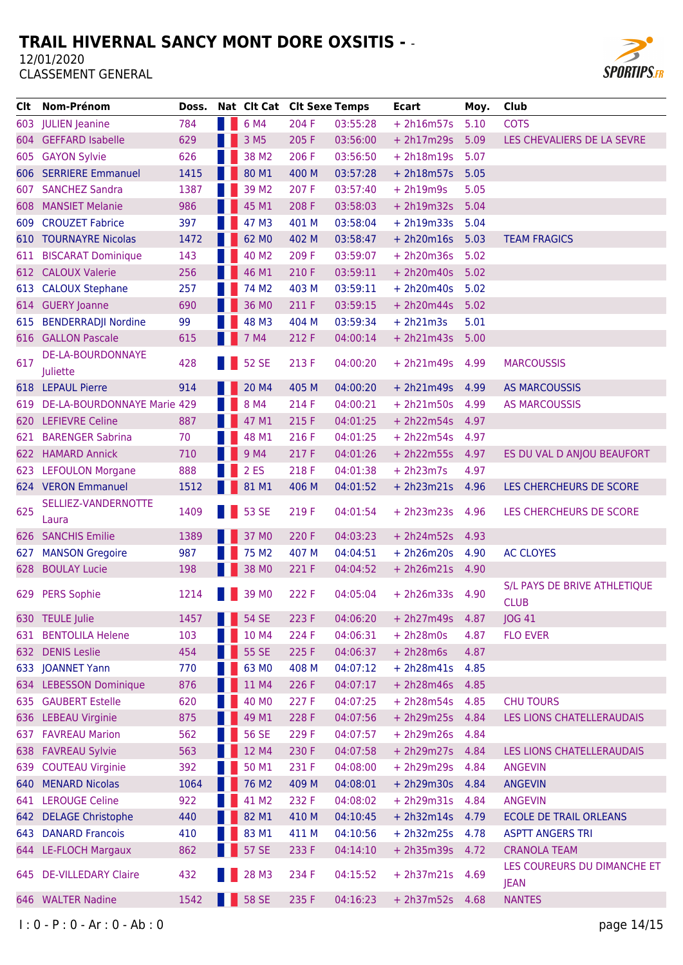

| Clt. | Nom-Prénom                      | Doss. |     | Nat Clt Cat Clt Sexe Temps |       |          | Ecart           | Moy. | Club                          |
|------|---------------------------------|-------|-----|----------------------------|-------|----------|-----------------|------|-------------------------------|
|      | 603 JULIEN Jeanine              | 784   | . . | 6 M4                       | 204 F | 03:55:28 | $+ 2h16m57s$    | 5.10 | <b>COTS</b>                   |
| 604  | <b>GEFFARD Isabelle</b>         | 629   |     | 3 M <sub>5</sub>           | 205 F | 03:56:00 | $+ 2h17m29s$    | 5.09 | LES CHEVALIERS DE LA SEVRE    |
| 605  | <b>GAYON Sylvie</b>             | 626   |     | 38 M2                      | 206 F | 03:56:50 | $+ 2h18m19s$    | 5.07 |                               |
| 606  | <b>SERRIERE Emmanuel</b>        | 1415  |     | 80 M1                      | 400 M | 03:57:28 | $+ 2h18m57s$    | 5.05 |                               |
|      | 607 SANCHEZ Sandra              | 1387  |     | 39 M <sub>2</sub>          | 207 F | 03:57:40 | $+ 2h19m9s$     | 5.05 |                               |
| 608  | <b>MANSIET Melanie</b>          | 986   |     | 45 M1                      | 208 F | 03:58:03 | $+ 2h19m32s$    | 5.04 |                               |
| 609  | <b>CROUZET Fabrice</b>          | 397   |     | 47 M3                      | 401 M | 03:58:04 | $+ 2h19m33s$    | 5.04 |                               |
| 610  | <b>TOURNAYRE Nicolas</b>        | 1472  |     | 62 MO                      | 402 M | 03:58:47 | $+ 2h20m16s$    | 5.03 | <b>TEAM FRAGICS</b>           |
| 611  | <b>BISCARAT Dominique</b>       | 143   |     | 40 M2                      | 209 F | 03:59:07 | $+ 2h20m36s$    | 5.02 |                               |
| 612  | <b>CALOUX Valerie</b>           | 256   |     | 46 M1                      | 210 F | 03:59:11 | $+ 2h20m40s$    | 5.02 |                               |
| 613  | <b>CALOUX Stephane</b>          | 257   |     | 74 M <sub>2</sub>          | 403 M | 03:59:11 | $+ 2h20m40s$    | 5.02 |                               |
|      | 614 GUERY Joanne                | 690   |     | 36 MO                      | 211 F | 03:59:15 | $+ 2h20m44s$    | 5.02 |                               |
| 615  | <b>BENDERRADJI Nordine</b>      | 99    |     | 48 M3                      | 404 M | 03:59:34 | $+ 2h21m3s$     | 5.01 |                               |
|      | 616 GALLON Pascale              | 615   |     | 7 M4                       | 212 F | 04:00:14 | $+ 2h21m43s$    | 5.00 |                               |
|      | DE-LA-BOURDONNAYE               |       |     |                            |       |          |                 |      |                               |
| 617  | Juliette                        | 428   |     | <b>1 52 SE</b>             | 213 F | 04:00:20 | $+ 2h21m49s$    | 4.99 | <b>MARCOUSSIS</b>             |
|      | 618 LEPAUL Pierre               | 914   |     | 20 M4                      | 405 M | 04:00:20 | $+ 2h21m49s$    | 4.99 | <b>AS MARCOUSSIS</b>          |
|      | 619 DE-LA-BOURDONNAYE Marie 429 |       |     | 8 M4                       | 214 F | 04:00:21 | $+ 2h21m50s$    | 4.99 | <b>AS MARCOUSSIS</b>          |
| 620  | <b>LEFIEVRE Celine</b>          | 887   |     | 47 M1                      | 215 F | 04:01:25 | $+ 2h22m54s$    | 4.97 |                               |
| 621  | <b>BARENGER Sabrina</b>         | 70    |     | 48 M1                      | 216 F | 04:01:25 | $+ 2h22m54s$    | 4.97 |                               |
|      | 622 HAMARD Annick               | 710   |     | 9 M4                       | 217 F | 04:01:26 | $+ 2h22m55s$    | 4.97 | ES DU VAL D ANJOU BEAUFORT    |
| 623  | <b>LEFOULON Morgane</b>         | 888   |     | 2 ES                       | 218 F | 04:01:38 | $+ 2h23m7s$     | 4.97 |                               |
|      | 624 VERON Emmanuel              | 1512  |     | 81 M1                      | 406 M | 04:01:52 | $+ 2h23m21s$    | 4.96 | LES CHERCHEURS DE SCORE       |
|      | SELLIEZ-VANDERNOTTE             |       |     |                            |       |          |                 |      |                               |
| 625  | Laura                           | 1409  |     | 53 SE                      | 219 F | 04:01:54 | $+ 2h23m23s$    | 4.96 | LES CHERCHEURS DE SCORE       |
|      | 626 SANCHIS Emilie              | 1389  |     | 37 MO                      | 220 F | 04:03:23 | $+ 2h24m52s$    | 4.93 |                               |
| 627  | <b>MANSON Gregoire</b>          | 987   |     | 75 M2                      | 407 M | 04:04:51 | $+ 2h26m20s$    | 4.90 | <b>AC CLOYES</b>              |
| 628  | <b>BOULAY Lucie</b>             | 198   |     | 38 MO                      | 221 F | 04:04:52 | $+ 2h26m21s$    | 4.90 |                               |
| 629  | <b>PERS Sophie</b>              | 1214  |     | 39 MO                      | 222 F | 04:05:04 | $+ 2h26m33s$    | 4.90 | S/L PAYS DE BRIVE ATHLETIQUE  |
|      |                                 |       |     |                            |       |          |                 |      | <b>CLUB</b>                   |
|      | 630 TEULE Julie                 | 1457  |     | <b>54 SE</b>               | 223 F | 04:06:20 | $+ 2h27m49s$    | 4.87 | <b>JOG 41</b>                 |
|      | 631 BENTOLILA Helene            | 103   |     | 10 M4                      | 224 F | 04:06:31 | $+ 2h28m0s$     | 4.87 | <b>FLO EVER</b>               |
|      | 632 DENIS Leslie                | 454   |     | 55 SE                      | 225 F | 04:06:37 | $+ 2h28m6s$     | 4.87 |                               |
|      | 633 JOANNET Yann                | 770   |     | 63 MO                      | 408 M | 04:07:12 | $+ 2h28m41s$    | 4.85 |                               |
|      | 634 LEBESSON Dominique          | 876   |     | 11 M4                      | 226 F | 04:07:17 | $+ 2h28m46s$    | 4.85 |                               |
|      | 635 GAUBERT Estelle             | 620   |     | 40 MO                      | 227 F | 04:07:25 | $+ 2h28m54s$    | 4.85 | <b>CHU TOURS</b>              |
|      | 636 LEBEAU Virginie             | 875   |     | 49 M1                      | 228 F | 04:07:56 | $+ 2h29m25s$    | 4.84 | LES LIONS CHATELLERAUDAIS     |
|      | 637 FAVREAU Marion              | 562   |     | <b>56 SE</b>               | 229 F | 04:07:57 | $+ 2h29m26s$    | 4.84 |                               |
|      | 638 FAVREAU Sylvie              | 563   |     | 12 M4                      | 230 F | 04:07:58 | + 2h29m27s 4.84 |      | LES LIONS CHATELLERAUDAIS     |
|      | 639 COUTEAU Virginie            | 392   |     | 50 M1                      | 231 F | 04:08:00 | + 2h29m29s      | 4.84 | <b>ANGEVIN</b>                |
|      | 640 MENARD Nicolas              | 1064  |     | 76 M2                      | 409 M | 04:08:01 | $+ 2h29m30s$    | 4.84 | <b>ANGEVIN</b>                |
|      | 641 LEROUGE Celine              | 922   |     | 41 M2                      | 232 F | 04:08:02 | $+ 2h29m31s$    | 4.84 | <b>ANGEVIN</b>                |
|      | 642 DELAGE Christophe           | 440   |     | 82 M1                      | 410 M | 04:10:45 | $+ 2h32m14s$    | 4.79 | <b>ECOLE DE TRAIL ORLEANS</b> |
| 643  | <b>DANARD Francois</b>          | 410   |     | 83 M1                      | 411 M | 04:10:56 | $+ 2h32m25s$    | 4.78 | <b>ASPTT ANGERS TRI</b>       |
|      | 644 LE-FLOCH Margaux            | 862   |     | <b>57 SE</b>               | 233 F | 04:14:10 | $+ 2h35m39s$    | 4.72 | <b>CRANOLA TEAM</b>           |
| 645  | <b>DE-VILLEDARY Claire</b>      | 432   |     | 28 M3                      | 234 F | 04:15:52 | $+ 2h37m21s$    | 4.69 | LES COUREURS DU DIMANCHE ET   |
|      | 646 WALTER Nadine               | 1542  |     | <b>58 SE</b>               | 235 F | 04:16:23 | + 2h37m52s 4.68 |      | <b>JEAN</b><br><b>NANTES</b>  |
|      |                                 |       |     |                            |       |          |                 |      |                               |